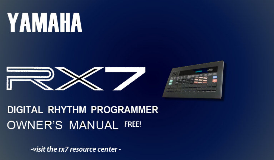# **YAMAHA**





# **DIGITAL RHYTHM PROGRAMMER OWNER'S MANUAL FREE!**

-visit the rx7 resource center -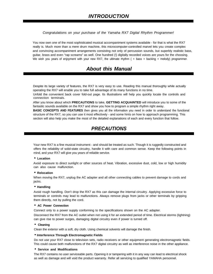#### *Congratulations on your purchase of the Yamaha RX7 Digital Rhythm Programmer!*

You now own one of the most sophisticated musical accompaniment systems available - for that is what the RX7 really is. Much more than a mere drum machine, this microcomputer-controlled marvel lets you create complex and convincing accompaniment arrangements consisting not only of percussion sounds, but superbly realistic bass, guitar, brass and even "rap screams" as well. One hundred (!) digitally recorded voices are yours for the choosing. We wish you years of enjoyment with your new RX7, the ultimate rhythm ( + bass + backing + melody) programmer.

## *About this Manual*

Despite its large variety of features, the RX7 is very easy to use. Reading this manual thoroughly while actually operating the RX7 will enable you to take full advantage of its many functions in no time.

Unfold the convenient back cover fold-out page. Its illustrations will help you quickly locate the controls and connection terminals.

After you know about which **PRECAUTIONS** to take, **GETTING ACQUAINTED** will introduce you to some of the fantastic sounds available on the RX7 and show you how to program a simple rhythm right away.

**BASIC CONCEPTS AND FEATURES** then gives you all the information you need in order to understand the functional structure of the RX7, so you can use it most effectively - and some hints on how to approach programming. This section will also help you make the most of the detailed explanations of each and every function that follow.

## *PRECAUTIONS*

Your new RX7 is a fine musical instrument - and should be treated as such. Though it is ruggedly constructed and offers the reliability of solid-state circuitry, handle it with care and common sense. Keep the following points in mind, and your RX7 will give you years of reliable service.

#### • **Location**

Avoid exposure to direct sunlight or other sources of heat. Vibration, excessive dust, cold, low or high humidity can also cause malfunction.

#### • **Relocation**

When moving the RX7, unplug the AC adapter and all other connecting cables to prevent damage to cords and jacks.

#### • **Handling**

Avoid rough handling. Don't drop the RX7 as this can damage the internal circuitry. Applying excessive force to terminals or controls may lead to malfunctions. Always remove plugs from jacks or other terminals by gripping them directly, not by pulling the cord.

#### • **AC Power Connection**

Connect only to a power supply conforming to the specifications shown on the AC adapter.

Disconnect the RX7 from the AC outlet when not using it for an extended period of time. Electrical storms (lightning) can give rise to power surges, damaging digital circuitry even if power is turned off.

#### • **Cleaning**

Clean the exterior with a soft, dry cloth. Using chemical solvents will damage the finish.

#### • **Interference Through Electromagnetic Fields**

Do not use your RX7 close to television sets, radio receivers or other equipment generating electromagnetic fields. This could cause both malfunctions of the RX7 digital circuitry as well as interference noise in the other appliance.

#### • **Service and Modifications**

The RX7 contains no user serviceable parts. Opening it or tampering with it in any way can lead to electrical shock as well as damage and will void the product warranty. Refer all servicing to qualified YAMAHA personnel.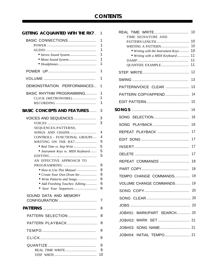## *CONTENTS*

| <b>GETTING ACQUAINTED WITH THE RX7</b>                                                                                                                                                                             | 1                                              |
|--------------------------------------------------------------------------------------------------------------------------------------------------------------------------------------------------------------------|------------------------------------------------|
| BASIC CONNECTIONS                                                                                                                                                                                                  | 1<br>1<br>1<br>1<br>1<br>1                     |
|                                                                                                                                                                                                                    | 1                                              |
|                                                                                                                                                                                                                    | 1                                              |
| DEMONSTRATION PERFORMANCES                                                                                                                                                                                         | 1                                              |
| <b>BASIC RHYTHM PROGRAMMING</b><br>CLICK (METRONOME)                                                                                                                                                               | 1<br>1<br>1                                    |
| <b>BASIC CONCEPTS AND FEATURES</b>                                                                                                                                                                                 | 3                                              |
| VOICES AND SEQUENCES<br>SEQUENCES-PATTERNS,                                                                                                                                                                        | 3<br>3                                         |
| SONGS AND CHAINS<br>CONTROLS - FUNCTIONAL GROUPS<br>WRITING ON THE RX7<br>• Instrument Keys vs. MIDI Keyboard<br>AN EFFECTIVE APPROACH TO<br>PROGRAMMING<br>• How to Use This Manual<br>• Create Your Own Drum Set | 4<br>4<br>5<br>5<br>5<br>5<br>6<br>6<br>6<br>6 |
| • Write Patterns and Songs<br>• Add Finishing Touches: Editing                                                                                                                                                     | 6<br>6                                         |
| SOUND DATA AND MEMORY                                                                                                                                                                                              | 7                                              |
|                                                                                                                                                                                                                    | 8                                              |
| PATTERN SELECTION                                                                                                                                                                                                  | 8                                              |
| PATTERN PLAYBACK                                                                                                                                                                                                   | 8                                              |
|                                                                                                                                                                                                                    | 9                                              |
|                                                                                                                                                                                                                    | 9                                              |
| REAL TIME WRITE                                                                                                                                                                                                    | 9<br>9<br>10                                   |

| TIME SIGNATURE AND                 | 10       |
|------------------------------------|----------|
|                                    | 10       |
| WRITING A PATTERN                  | 10       |
| • Writing with the Instrument Keys | 10       |
| • Writing with a MIDI Keyboard     | 11<br>11 |
| QUANTIZE EXAMPLE                   | 11       |
|                                    | 12       |
|                                    | 13       |
| PATTERN/VOICE CLEAR                | 13       |
| PATTERN COPY/APPEND                | 14       |
|                                    | 15       |
|                                    | 16       |
|                                    | 16       |
|                                    | 16       |
| REPEAT PLAYBACK                    | 17       |
|                                    | 17       |
|                                    | 17       |
|                                    | 17       |
| REPEAT COMMANDS                    | 18       |
|                                    | 18       |
| TEMPO CHANGE COMMANDS              | 19       |
| <b>VOLUME CHANGE COMMANDS</b>      | 19       |
|                                    |          |
|                                    |          |
|                                    |          |
| JOB#01: MARK/PART SEARCH 20        |          |
|                                    |          |
|                                    |          |
| JOB#04: INITIAL TEMPO 21           |          |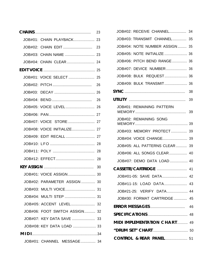|                               | 23                  | J |
|-------------------------------|---------------------|---|
| JOB#01: CHAIN PLAYBACK 23     |                     | J |
|                               |                     | J |
|                               |                     | J |
|                               |                     | J |
|                               |                     | J |
|                               |                     | J |
|                               |                     | J |
|                               | <b>SYI</b>          |   |
|                               | UTI                 |   |
|                               |                     | J |
|                               |                     | ľ |
|                               |                     | ľ |
| JOB#08: VOICE INITIALIZE 27   |                     | J |
|                               |                     | J |
|                               |                     |   |
|                               |                     |   |
|                               |                     |   |
|                               | $C\Lambda$          |   |
|                               |                     |   |
| JOB#02: PARAMETER ASSIGN  30  |                     |   |
|                               |                     |   |
| JOB#04: MULTI STEP  31        |                     |   |
| JOB#05: ACCENT LEVEL 32       | <b>ER</b>           |   |
| JOB#06: FOOT SWITCH ASSIGN 32 | <b>SP</b>           |   |
| JOB#07: KEY DATA SAVE  33     | MI                  |   |
|                               | $^{\prime\prime}$ D |   |
|                               |                     |   |
| JOB#01: CHANNEL MESSAGE 34    | C)                  |   |

| JOB#02: RECEIVE CHANNEL 34          |    |
|-------------------------------------|----|
| JOB#03: TRANSMIT CHANNEL 35         |    |
| JOB#04: NOTE NUMBER ASSIGN 35       |    |
| JOB#05: NOTE INITIALIZE 36          |    |
| JOB#06: PITCH BEND RANGE 36         |    |
| JOB#07: DEVICE NUMBER 36            |    |
| JOB#08: BULK REQUEST 36             |    |
| JOB#09: BULK TRANSMIT 36            |    |
|                                     | 38 |
|                                     |    |
| JOB#01: REMAINING PATTERN           |    |
| JOB#02: REMAINING SONG              |    |
| JOB#03: MEMORY PROTECT 39           |    |
|                                     |    |
| JOB#05: ALL PATTERNS CLEAR 39       |    |
| JOB#06: ALL SONGS CLEAR 40          |    |
| JOB#07: DEMO DATA LOAD 40           |    |
|                                     |    |
| JOB#01-05: SAVE DATA 42             |    |
| JOB#11-15: LOAD DATA                | 43 |
| JOB#21-25: VERIFY DATA 44           |    |
| JOB#30: FORMAT CARTRIDGE  45        |    |
|                                     |    |
|                                     |    |
| <b>MIDI IMPLEMENTATION CHART 49</b> |    |
|                                     |    |
| <b>CONTROL &amp; REAR PANEL 51</b>  |    |
|                                     |    |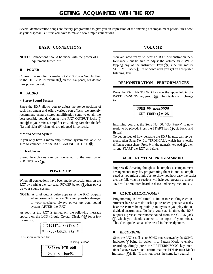<span id="page-4-0"></span>Several demonstration songs are factory-programmed to give you an impression of the amazing accompaniment possibilities now at your disposal. But first you have to make a few simple connections.

#### **BASIC CONNECTIONS**

**NOTE:** Connections should be made with the power of all equipment turned off.

#### *n POWER*

Connect the supplied Yamaha PA-1210 Power Supply Unit to the DC 12 V IN terminal  $\Omega$  on the rear panel, but do not turn power on yet.

#### *n AUDIO*

#### • **Stereo Sound System**

Since the RX7 allows you to adjust the stereo position of each instrument and offers various pan effects, we strongly recommend using a stereo amplification setup to obtain the best possible sound. Connect the RX7 OUTPUT jacks (9) and  $\Omega$  to your mixer, amplifier etc., taking care that the left (L) and right (R) channels are plugged in correctly.

#### • **Mono Sound System**

If you only have a mono amplification system available, be sure to connect it to the RX7 L/MONO OUTPUT(10).

#### • **Headphones**

Stereo headphones can be connected to the rear panel PHONES jack (1).

#### **POWER UP**

When all connections have been made correctly, turn on the RX7 by pushing the rear panel POWER button  $\bigcap$ , then power up your sound system.

**NOTE:** A brief output pulse appears at the RX7 outputs when power is turned on. To avoid possible damage to your speakers, always power up your sound system AFTER the RX7.

As soon as the RX7 is turned on, the following message appears on the LCD (Liquid Crystal Display) $(2)$  for a few moments:

| * DIGITAL RHYTHM * |  |
|--------------------|--|
| * PROGRAMMER RX7 * |  |

It is soon replaced by

Flashing cursor

|               | Select PTN 00 |
|---------------|---------------|
| 04 / 4 :bar01 |               |

#### **VOLUME**

You are now ready to hear an RX7 demonstration performance - but be sure to adjust the volume first. While tapping any of the instrument keys  $(\mathbf{\mathfrak{h}})$ , slide the master VOLUME fader  $\Omega$  up or down until you get an acceptable listening level.

#### **DEMONSTRATION PERFORMANCES**

Press the PATTERN/SONG key (on the upper left in the PATTERN/SONG key group  $(\vec{v})$ . The display will change to

> SONG 00 meas0039  $\sqrt{GET}$  FUNK $\lt: J = 126$

informing you that the Song No. 00, "Get Funky" is now ready to be played. Press the START key  $\left(\overline{4}\right)$ , sit back, and listen!

To get an idea of how versatile the RX7 is, next call up demonstration Song No. 01, "TROPICAL", which has a totally different atmosphere. Press  $0$  in the numeric key pad  $20$ , then 1, and START the RX7 as before.

#### **BASIC RHYTHM PROGRAMMING**

Impressed? Amazing though such complex accompaniment arrangements may be, programming them is not as complicated as you might think. Just to show you how easy the basics are, the following instructions will help you program a simple 16-beat Pattern often heard in disco and heavy rock music.

#### *n CLICK (METRONOME)*

Programming in "real time" is similar to recording each instrument live on a multi-track tape recorder -you can actually hear the Pattern being built up in layers as you play the individual instruments. To help you stay in time, the RX7 outputs a precise metronome sound from the CLICK jack which you should connect to an input of your mixer. This click guide can also be heard in the headphones.

#### $RECORDING$

Since the RX7 is still set to SONG mode, shown by the SONG indicator  $\circled{6}$  being lit, switch it to Pattern Mode to enable recording. Simply press the PATTERN/SONG key mentioned above twice, and confirm that the PTN (Pattern Mode) indicator  $\circ$  is lit. (If it is not, press the same key again.)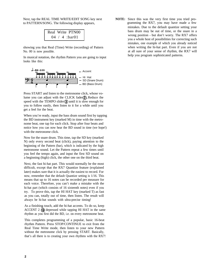Next, tap the REAL TIME WRITE/EDIT SONG key next to PATTERN/SONG. The following display appears,

|  | Real Write PTN00 |
|--|------------------|
|  | $04 / 4$ :bar01  |

showing you that Real (Time) Write (recording) of Pattern No. 00 is now possible.

In musical notation, the rhythm Pattern you are going to input looks like this:



Press START and listen to the metronome click, whose volume you can adjust with the CLICK fader $(2)$ . Reduce the speed with the TEMPO slider $\circled{3}$  until it is slow enough for you to follow easily, then listen to it for a while until you get a feel for the beat.

When you're ready, input the bass drum sound first by tapping the BD instrument key (marked M) in time with the metronome beat, one tap for each click. Stop after four beats and notice how you can now hear the BD sound in time (we hope!) with the metronome click.

Now for the snare drum. This time, tap the SD key (marked N) only every second beat (click), paying attention to the beginning of the Pattern (bar), which is indicated by the high metronome sound. Let the Pattern repeat a few times until you feel the tempo again, and input the first SD sound on a beginning (high) click, the other one on the third beat.

Next, the fast hi-hat part. This would normally be the most difficult, except that the RX7 Quantize feature (explained later) makes sure that it is actually the easiest to record. For now, remember that the default Quantize setting is 1/16. This means that up to 16 notes can be recorded per measure for each voice. Therefore, you can't make a mistake with the hi-hat part (which consists of 16 sixteenth notes) even if you try. To prove this, tap the HI HAT key (marked T) as fast as you can, totally out of time, then listen. The result will always be hi-hat sounds with ultra-precise timing!

As a finishing touch, add the hi-hat accents. To do so, keep ACCENT 2  $\left(\mathbf{\circ}\right)$  depressed while tapping HI HAT in the same rhythm as you first did the BD, i.e. on every metronome beat.

This completes programming of a popular, basic 16-beat rhythm Pattern. Press STOP/CONTINUE to exit from the Real Time Write mode, then listen to your new Pattern without the metronome click by pressing START. Basically, that's all there is to creating your own rhythms with the RX7! **NOTE:** Since this was the very first time you tried programming the RX7, you may have made a few mistakes. Due to the default quantize setting your bass drum may be out of time, or the snare in a wrong position - but don't worry. The RX7 offers you a whole host of possibilities for correcting such mistakes, one example of which you already noticed when writing the hi-hat part. Even if you are not at all sure of your sense of rhythm, the RX7 will help you program sophisticated patterns.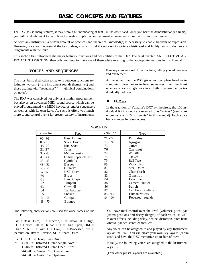<span id="page-6-0"></span>The RX7 has so many features, it may seem a bit intimidating at first. On the other hand, when you hear the demonstration programs, you will no doubt want to learn how to create complex accompaniment arrangements like that for your own music.

As with any instrument, a certain amount of practice (and theoretical knowledge) is necessary to enable freedom of expression. However, once you understand the basic ideas, you will find it very easy to write sophisticated and highly realistic rhythm arrangements with the RX7.

This section first introduces the major features, functions and possibilities of the RX7. The final chapter, AN EFFECTIVE AP-PROACH TO WRITING, then tells you how to make use of them while referring to the appropriate sections in this Manual.

The most basic distinction to make is between functions relating to "voices" (= the instrument sounds themselves) and those dealing with "sequences" (= rhythmical combinations of notes).

The RX7 was conceived not only as a rhythm programmer, but also as an advanced MIDI sound source which can be played/programmed via MIDI keyboards and/or sequencers as well as with its own keys. As such, it offers you much more sound control over a far greater variety of instruments

**VOICES AND SEQUENCES** than any conventional drum machine, letting you add realism and excitement.

> At the same time. the RX7 gives you complete freedom in combining these voices to form sequences. Even the finest nuances of each single note in a rhythm pattern can be individually adjusted.

#### **n** *VOICES*

In the tradition of Yamaha's DX7 synthesizers, the 100 individual RX7 sounds are referred to as "voices" (used synonymously with "instruments" in this manual). Each voice has a number for easy access.

| Voice No. | Type                  | Voice No. | Type              |
|-----------|-----------------------|-----------|-------------------|
| $00 - 08$ | <b>Bass Drums</b>     | $71 - 72$ | Timbales          |
| $09 - 18$ | Snare Drums           | 73 - 74   | Agogos            |
| $19-20$   | Rim Shots             | 75        | Cuica             |
| $21 - 37$ | Toms                  | 76        | Castanet          |
| $38 - 40$ | FM Percussion         | 77        | Whistle           |
| $41 - 44$ | Hi hats (open/closed) | 78        | Claves            |
| $45 - 48$ | Cymbals               | 79        | <b>Bell Tree</b>  |
| $49 - 52$ | <b>Basses</b>         | 80        | Vibra Slap        |
| $53 - 56$ | Guitars*              | 81        | <b>Steel Drum</b> |
| $57 - 59$ | DX7 Voices            | 82        | Glass Crash       |
| 60        | <b>Brass</b>          | 83        | Gunshot           |
| 61        | <b>Hand Claps</b>     | 84        | Door Slam         |
| 62        | Timpani               | 85        | Camera Shutter    |
| 63        | Cowbell               | 86        | Punch             |
| 64        | Tambourine            | 87        | Car Door Shutting |
| 65        | Shaker                | $88 - 93$ | Human voices      |
| $66 - 68$ | Congas                | $94 - 99$ | Reversed sounds   |
| $69 - 70$ | <b>Bongos</b>         |           |                   |

#### VOICE LIST

The following abbreviations are used for voice names on the LCD:

 $BD = Bass$  Drum, E. = Electric, F. = Fusion, H = High, H. = Heavy, HH = Hi hat, HO = High Open, HM = High Mute, J. = Jazz, L = Low, P. = Processed, prc = percussion, Rvs = Reverse, SD = Snare Drum

Ex.: H. BD  $1 =$  Heavy Bass Drum

\*: D.GtrS = Distorted Guitar Single Note D.Gtr5 = Distorted Guitar Open Fifths  $GtrCutD = Guitar Cut/Downstroke$ GtrCutU = Guitar Cut/Upstroke

You have total control over the level (volume), pitch, pan (stereo position) and decay (length) of each voice, as well as over effects including delay, detune, distortion, pitch bend, vibrato, panned stereo echoes, etc..

Any voice can be assigned to and played by any Instrument key on the RX7. You can create your own key layouts ("drum sets") and have the RX7 memorize up to five of them.

Initially, the following voices are assigned to the Instrument keys 15:

(Four other preset layouts are available.)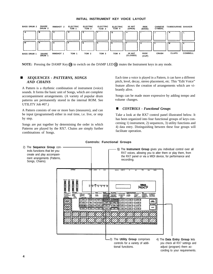<span id="page-7-0"></span>

#### **INITIAL INSTRUMENT KEY VOICE LAYOUT**

**NOTE:** Pressing the DAMP Key (19) to switch on the DAMP LED (10) mutes the Instrument keys in any mode.

A Pattern is a rhythmic combination of instrument (voice) sounds. It forms the basic unit of Songs, which are complete accompaniment arrangements. (A variety of popular drum patterns are permanently stored in the internal ROM. See UTILITY Job #07.)

A Pattern consists of one or more bars (measures), and can be input (programmed) either in real time, i.e. live, or step by step.

Songs are put together by determining the order in which Patterns are played by the RX7. Chains are simply further combinations of Songs.

**SEQUENCES - PATTERNS, SONGS** Each time a voice is played in a Pattern, it can have a different *AND CHAINS* pitch, level, decay, stereo placement, etc. This "Edit Voice" feature allows the creation of arrangements which are vibrantly alive.

> Songs can be made more expressive by adding tempo and volume changes.

#### ■ *CONTROLS* - Functional Groups

Take a look at the RX7 control panel illustrated below. It has been organized into four functional groups of keys concerning 1) instrument, 2) sequences, 3) utility functions and 4) data entry. Distinguishing between these four groups will facilitate operation.



#### **Controls: Functional Groups**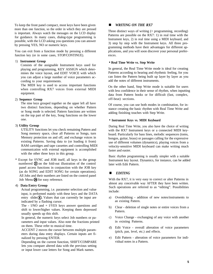<span id="page-8-0"></span>To keep the front panel compact, most keys have been given more than one function, so the order in which they are pressed is important. Always watch the messages on the LCD display for guidance. In many cases, dialog-type programming is possible, with the LCD asking you questions you can answer by pressing YES, NO or numeric keys.

You can exit from a function mode by pressing a different function key (or in some cases, STOP/CONTINUE).

#### 1) **Instrument Group**

Consists of the assignable Instrument keys used for playing and programming, KEY ASSIGN which determines the voice layout, and EDIT VOICE with which you can adjust a large number of voice parameters according to your requirements.

The MIDI key is used to access important functions when controlling RX7 voices from external MIDI equipment.

#### 2) **Sequence Group**

The nine keys grouped together on the upper left all have two distinct functions, depending on whether Pattern or Song mode is selected. Pattern functions are written on the top part of the key, Song functions on the lower one.

#### 3) **Utility Group**

UTILITY functions let you check remaining Pattern and Song memory space, clear all Patterns or Songs, turn Memory protection on and off, and exchange voices in existing Patterns. Saving data to (or loading it from) RAM cartridges and tape cassettes and controlling MIDI communication with external equipment is accomplished with the other three keys in this group.

\* Except for SYNC and JOB itself, all keys in the group numbered  $\Omega$  on the fold-out illustration of the control panel access functions in conjunction with the JOB key (as do SONG and EDIT SONG for certain operations). All Jobs and their numbers are listed on the control panel Job Menu  $\overline{2}$  for easy reference.

#### 4) **Data Entry Group**

Actual programming, i.e. parameter selection and value input, is performed mainly with these keys and the DATA entry slider $\bigoplus$ . Values that can currently be input are indicated by a flashing cursor.

The - l/NO and + l/YES keys answer questions and shift to lower/higher values. Keeping them depressed usually speeds up this shift.

In general, the numeric keys select Job numbers or parameters and input values. Also note the fractions printed on them. These refer to musical time.

ACCENT 2 moves the cursor between multiple parameters during data entry displays. Certain inputs are finalized by pressing ENTER.

Depending on the current function, SHIFT/COMPARE lets you compare altered data with the previous setting or input lower case letters for Song and Mark names.

#### *n WRITING ON THE RX7*

Three distinct ways of writing (= programming, recording) Patterns are possible on the RX7: 1) in real time with the Instrument keys, 2) in real time using a MIDI keyboard, and 3) step by step with the Instrument keys. All three programming methods have their advantages for different applications, and you will soon discover your personal preferences.

#### • **Real Time Write vs. Step Write**

In general, the Real Time Write mode is ideal for creating Patterns according to hearing and rhythmic feeling, for you can listen the Pattern being built up layer by layer as you add the notes of different instruments.

On the other hand, Step Write mode is suitable for users with less confidence in their sense of rhythm, when inputting data from Pattern books or for difficult (fast, complex, off-beat) sections.

Of course, you can use both modes in combination, for instance creating the basic rhythm with Real Time Write and adding finishing touches with Step Write.

#### • **Instrument Keys vs. MIDI Keyboard**

During Real Time Write, you also have the choice of writing with the RX7 Instrument keys or a connected MIDI keyboard. Particularly for bass lines, melodic sequences (toms, bongos, guitar, brass) or passages calling for the expressive use of different volumes (dynamics), playing voices from a velocity-sensitive MIDI keyboard can make writing much faster and easier.

Basic rhythm programming is usually simpler with a suitable Instrument key layout. Dynamics, for instance, can be added later with Edit Pattern.

#### *n EDITING*

With the RX7, it is very easy to correct or alter Patterns in almost any conceivable way AFTER they have been written. Such operations are referred to as "editing". Possibilities include:

- a) Overdubbing addition of new notes/instruments to an existing Pattern.
- b) Clear deletion of single notes or entire voices from a Pattern.
- c) Voice Change exchanging of any voice with another in existing Patterns.
- d) Edit Voice overall alteration of voice parameters (pitch, pan, level, etc.) and effects.
- e) Edit Pattern alteration of voice parameters for individual notes in a Pattern.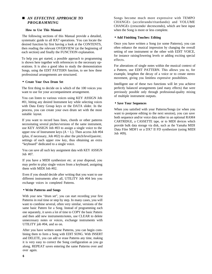#### <span id="page-9-0"></span>*n AN EFFECTIVE APPROACH TO PROGRAMMING*

#### **How to Use This Manual**

The following sections of this Manual provide a detailed, systematic guide to all RX7 operations. You can locate the desired function by first having a look at the CONTENTS, then reading the relevant OVERVIEW (at the beginning of each section) and finally the FUNCTION explanation.

To help you get started, a possible approach to programming is shown here together with references to the necessary operations. It is also a good idea to study the demonstration Songs, using the EDIT PATTERN function, to see how these professional arrangements are structured.

#### • **Create Your Own Drum Set**

The first thing to decide on is which of the 100 voices you want to use for your accompaniment arrangement.

You can listen to various voices using KEY ASSIGN Job #01, hitting any desired Instrument key while selecting voices with Data Entry Group keys or the DATA slider. In the process, you can create your own drum set with the most suitable layout.

If you want to record bass lines, chords or other patterns necessitating several pitches/versions of the same instrument, use KEY ASSIGN Job #03 to assign a single voice to the upper row of Instrument keys  $(A \sim L)$ . Then access Job #04 (plus, if necessary, Job #02) to alter the pitch/level/pan/etc. settings of each upper row key, thus obtaining an extra "keyboard" dedicated to a single voice.

You can save all such key assignment data with KEY ASSIGN Job #07.

If you have a MIDI synthesizer etc. at your disposal, you may prefer to play single voices from a keyboard, assigning them with MIDI Job #02.

Even if you should decide after writing that you want to use different instruments after all, UTILITY Job #04 lets you exchange voices in completed Patterns.

#### • **Write Patterns and Songs**

With your new "drum set", you can start recording your first Patterns in real time or step by step. In many cases, you will want to combine several, often very similar, versions of the same basic Pattern for a Song. Instead of programming each one separately, it saves a lot of time to COPY the basic Pattern and then add new instruments/notes, use CLEAR to delete unnecessary notes or voices, exchange instruments with UTILITY job #04, and so on.

After you have written some Patterns, you can begin combining them to form a Song with EDIT SONG. With INSERT and DELETE, you can add or erase Patterns any time, making it is very easy to correct the Song configuration as you go along. REPEAT saves entering the same Patterns over and over again.

Songs become much more expressive with TEMPO CHANGES (accelerando/ritardando) and VOLUME CHANGES (crescendo/ decrescendo), which are best input when the Song is more or less complete.

#### • **Add Finishing Touches: Editing**

Once you have written a Song (or some Patterns), you can often enhance the musical impression by changing the overall setting of one instrument or the other with EDIT VOICE, for instance raising/lowering levels or adding exciting special effects.

For alterations of single notes within the musical context of a Pattern, use EDIT PATTERN. This allows you to, for example, lengthen the decay of a voice or to create stereo movement, giving you limitless expressive possibilities.

Intelligent use of these two functions will let you achieve perfectly balanced arrangements (and many effects) that were previously possible only through professional-quality mixing of multiple instrument outputs.

#### • **Save Your Sequences**

When you satisfied with your Patterns/Songs (or when you want to postpone editing to the next session), you can save both sequence and/or voice data either to an optional RAM4 CARTRIDGE, a CASSETTE tape, or to MIDI devices which provide bulk data storage via disk, such as the Yamaha MIDI Data Filer MDF1 or a DX7 II FD synthesizer (using MIDI Job #09).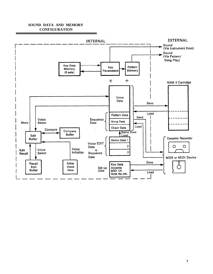#### **SOUND DATA AND MEMORY CONFIGURATION**

<span id="page-10-0"></span>![](_page_10_Figure_1.jpeg)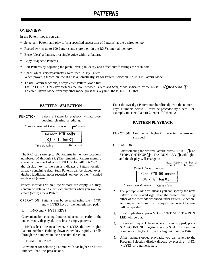# *PATTERNS*

#### <span id="page-11-0"></span>**OVERVIEW**

In the Pattern mode, you can

- **\*** Select any Pattern and play it (or a specified succession of Patterns) at the desired tempo.
- **\*** Record (write) up to 100 Patterns and store them in the RX7's internal memory.
- **\*** Erase (clear) a Pattern, or a single voice within a Pattern.
- **\*** Copy or append Patterns.
- **\*** Edit Patterns by adjusting the pitch, level, pan, decay and effect on/off settings for each note.
- **\*** Check which voices/parameters were used in any Pattern. When power is turned on, the RX7 is automatically set for Pattern Selection, i.e. it is in Pattern Mode.
- \* To use Pattern functions, always enter Pattern Mode first. The PATTERN/SONG key switches the RX7 between Pattern and Song Mode, indicated by the LEDs PTN**g** and SONG<sup>6</sup>. To enter Pattern Mode from any other mode, press this key until the PTN LED lights.

#### **PATTERN SELECTION**

FUNCTION Selects a Pattern for playback, writing, overdubbing, clearing or editing.

![](_page_11_Figure_12.jpeg)

The RX7 can store up to 100 Patterns in memory locations numbered 00 through 99. (The remaining Pattern memory space can be checked with UTILITY Job #01.) A "w" on the display next to the cursor indicates a Pattern location already containing data. Such Patterns can be played, overdubbed (additional notes recorded "on top" of them), copied or deleted (cleared).

Pattern locations without the w-mark are empty, i.e. they contain no data yet. Select such numbers when you want to create (write) a new Pattern.

OPERATION Patterns can be selected using the - 1/NO and + 1/YES keys or the numeric key pad.

1. - 1/NO and + 1/YES KEYS

Convenient for selecting Patterns adjacent or nearby to the one currently displayed, or to locate empty patterns.

- 1/NO selects the next lower, + 1/YES the next higher Pattern number. Holding down either key rapidly scrolls through the numbers in the respective direction.

#### 2. NUMERIC KEYS

Convenient for selecting Patterns with far higher or lower numbers than the present one.

Enter the two-digit Pattern number directly with the numeric keys. Numbers below 10 must be preceded by a zero. For example, to select Pattern 2, enter "0" then "2".

#### **PATTERN PLAYBACK**

FUNCTION Continuous playback of selected Patterns until stopped.

#### OPERATION

1. After selecting the desired Pattern, press START (14) or STOP/CONTINUE  $(3)$ . The RUN LED  $(1)$  will light, and the display will change to

![](_page_11_Figure_26.jpeg)

- 2. The prompt mark "\*\*" means you can specify the next Pattern to be played right after the present one, using either of the methods described under Pattern Selection. As long as the prompt is displayed, the current Pattern will be repeated.
- 3. To stop playback, press STOP/CONTINUE. The RUN LED will go out.
- 4. To restart playback from where it was stopped, press STOP/CONTINUE again. Pressing START instead recommences playback from the beginning of the Pattern.
- 5. After having stopped playback, you can revert to the Program Selection display directly by pressing - l/NO. + l/YES or a numeric key.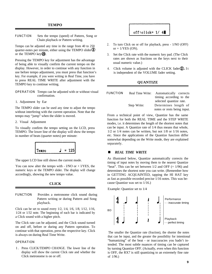<span id="page-12-0"></span>FUNCTION Sets the tempo (speed) of Pattern, Song or Chain playback or Pattern writing.

Tempo can be adjusted any time in the range from 40 to 250 quarter-notes per minute, either using the TEMPO slider  $\mathcal{D}$ or the TEMPO key $Q<sub>0</sub>$ .

Pressing the TEMPO key for adjustment has the advantage of being able to visually confirm the current tempo on the display. However, in order to continue with any function in use before tempo adjustment, you must press that function's key. For example, if you were writing in Real Time, you have to press REAL TIME WRITE after adjustment with the TEMPO key to continue writing.

- OPERATION Tempo can be adjusted with or without visual confirmation.
- 1. Adjustment by Ear

The TEMPO slider can be used any time to adjust the tempo without interfering with the current operation. Note that the tempo may "jump" when the slider is moved.

2. Visual Adjustment

To visually confirm the tempo setting on the LCD, press TEMPO. The lower line of the display will show the tempo in number of beats (quarter notes) per minute:

![](_page_12_Figure_9.jpeg)

The upper LCD line still shows the current mode.

You can now alter the tempo with  $-1/NO$  or  $+1/YES$ , the numeric keys or the TEMPO slider. The display will change accordingly, showing the new tempo value.

#### **CLICK**

FUNCTION Provides a metronome click sound during Pattern writing or during Pattern and Song playback.

Click can be set to sound every 1/2, 1/4, 1/6, 1/8, 1/12, 1/16, 1/24 or 1/32 note. The beginning of each bar is indicated by a Click sound with a higher pitch.

The Click rate can be adjusted, and the Click sound turned on and off, before or during any Pattern operation. To continue with that operation, press the respective key. Click is always on during Real Time Write.

#### OPERATION

1 . Press CLICK/TEMPO CHANGE. The lower line of the display will show the current Click rate and whether the Click metronome is on or off.

# off:click= $1/4$

- 2. To turn Click on or off for playback, press 1/NO (OFF) or  $+$  1/YES (ON).
- 3. Set the Click rate with the numeric key pad. (The Click rates are shown as fractions on the keys next to their usual numeric value.)
- 4. Click volume is adjusted with the CLICK fader  $(2)$ . It is independent of the VOLUME fader setting.

#### **QUANTIZE**

| <b>FUNCTION</b> | Real Time Write: | Automatically corrects      |
|-----------------|------------------|-----------------------------|
|                 |                  | timing according to the     |
|                 |                  | selected quantize rate.     |
|                 | Step Write:      | Determines length of        |
|                 |                  | notes or rests being input. |

From a technical point of view, Quantize has the same function for both the REAL TIME and the STEP WRITE modes, i.e. it determines the length of the shortest notes that can be input. A Quantize rate of 1/4 thus means that whole, 1/2 or 1/4 notes can be written, but not 1/8 or 1/16 notes, etc. Since the applications of the Quantize function differ somewhat depending on the Write mode, they are explained separately.

#### *NREAL TIME WRITE*

As illustrated below, Quantize automatically corrects the timing of input notes by moving them to the nearest Quantize "beat". This can be set between  $1/2$  and OFF (=  $1/96$ ) and determines the shortest note you can write. (Remember how in GETTING ACQUAINTED, tapping the HI HAT key as fast as possible recorded precise 1/16 notes. This was because Quantize was set to 1/16.)

Example: Quantize set to 1/4

![](_page_12_Figure_28.jpeg)

The smaller the Quantize rate (fraction), the shorter the notes that can be input, and the greater the possibility for intentional "humanizing" of the beat - or inaccuracies you hadn't intended. The most subtle nuances of timing can be captured by turning Quantize OFF. (Actually, even when this function is OFF, the RX7 is still quantizing to an extremely fine rate of 1/96.)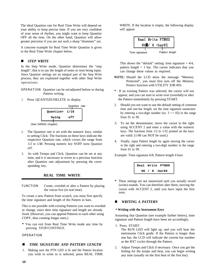<span id="page-13-0"></span>The ideal Quantize rate for Real Time Write will depend on your ability to keep precise time. If you are very confident of your sense of rhythm, you might want to keep Quantize OFF all the time. On the other hand, Quantize will allow greater precision if you are not such a sharp "drummer" yet.

A concrete example for Real Time Write Quantize is given in the Real Time Write chapter below.

#### *n STEP WRITE*

In the Step Write mode, Quantize determines the "step length", that is to say the length of notes or rests being input. Since Quantize settings are an integral part of the Step Write process, they are explained together with other Step Write operations.

OPERATION Quantize can be set/adjusted before or during Pattern writing.

1. Press QUANTIZE/DELETE to display

![](_page_13_Figure_6.jpeg)

(See SWING chapter)

- 2. The Quantize rate is set with the numeric keys, similar to setting Click: The fractions on these keys indicate the respective Quantize rate, which covers the range from 1/2 to 1/48. Pressing numeric key 9/OFF turns Quantize off.
- 3. As with Tempo and Click, Quantize can be set at any time, and it is necessary to revert to a previous function after Quantize rate adjustment by pressing the corresponding key. **Real Write PTN00**

#### **REAL TIME WRITE**

FUNCTION Create, overdub or alter a Pattern by playing the voices live (in real time).

To create a new Pattern from scratch, you must first specify the time signature and length of the Pattern in bars.

This is not possible with existing Patterns you want to overdub or change, since their time signature and length are already fixed. (However, you can append Patterns to each other using COPY, thus creating longer ones.)

**\*** You can exit from Real Time Write mode any time by pressing STOP/CONTINUE.

#### OPERATION

#### **TIME SIGNATURE AND PATTERN LENGTH**

1. Making sure the PTN LED is lit and the Pattern location you wish to write to is selected, press REAL TIME WRITE. If the location is empty, the following display will appear:

| Real Write PTN00 |  |                     |                |  |
|------------------|--|---------------------|----------------|--|
|                  |  | $04$ / 4 : bar $01$ |                |  |
| Time signature   |  |                     | Pattern length |  |

This shows the "default" setting: time signature  $= 4/4$ , pattern length  $= 1$  bar. The cursor indicates that you can change these values as required.

- **NOTE:** Should the LCD show the message "Memory Protected", you must first turn off the Memory Protect function with UTILITY JOB #03.
- **\*** If an existing Pattern was selected, the cursor will not appear, and you can start to write over (overdub) or alter the Pattern immediately by pressing START.
- 2. Should you not want to use the default setting of common time and one-bar length, set the time signature numerator by entering a two-digit number (ex:  $3 \rightarrow 03$ ) in the range from 01 to 99.
- 3. To set the denominator, move the cursor to the right using ACCENT 2 and enter a value with the numeric keys. The fractions from 1/2 to 1/32 printed on the keys are valid. (1/48 can NOT be used.)
- 4. Finally, input Pattern length by again moving the cursor to the right and entering a two-digit number in the range from 01 to 99.

Example: Time signature 6/8, Pattern length 4 bars

![](_page_13_Figure_27.jpeg)

**\*** These settings are not memorized until you actually record (write) sounds. You can therefore alter them, moving the cursor with ACCENT 2, until you have input the first note.

#### *n WRITING A PATTERN*

#### • **Writing with the Instrument Keys**

Assuming that Quantize (see example further below), time signature and Pattern length have been set accordingly,

1. Press START.

The RUN LED will light up, and you will hear the metronome Click guide. If the Pattern is longer than one bar, the LCD will indicate the current bar number as the RX7 cycles through the Pattern.

2. Adjust Tempo and Click if necessary. Once you get the feeling for the tempo and beat, you can begin writing any time (usually on the first beat of the first bar).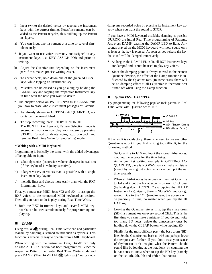- <span id="page-14-0"></span>3. Input (write) the desired voices by tapping the Instrument keys with the correct timing. Notes/instruments can be added as the Pattern recycles, thus building up the Pattern in layers.
- a) You can input one instrument at a time or several simultaneously.
- **\*** If you want to use voices currently not assigned to any instrument keys, use KEY ASSIGN JOB #0l prior to writing.
- b) Adjust the Quantize rate depending on the instrument part if this makes precise writing easier.
- c) To accent beats, hold down one of the green ACCENT keys while tapping an Instrument key.
- d) Mistakes can be erased as you go along by holding the CLEAR key and tapping the respective Instrument key in time with the note you want to delete.
- **\*** The chapter below on PATTERN/VOICE CLEAR tells you how to erase whole instrument passages or Patterns.
- e) As already shown in GETTING ACQUAINTED, accents can be overdubbed.
- 4. To stop recording, press STOP/CONTINUE. The RUN LED will go out, Pattern Selection mode is entered and you can now play your Pattern by pressing START. To add or delete notes, stop playback and re-enter Real Time Write (or Step Write) mode.

#### • **Writing with a MIDI Keyboard**

Programming is basically the same, with the added advantages of being able to input

- a ) subtle dynamics (expressive volume changes) in real time (if the keyboard is velocity sensitive),
- b) a larger variety of voices than is possible with a single Instrument key layout
- c) melodic lines and chords more easily than with the RX7 Instrument keys.

First, you must use MIDI Jobs #02 and #04 to assign the RX7 voices to the connected MIDI keyboard as desired. Then all you have to do is play during Real Time Write.

**\*** Both the RX7 Instrument keys and several MIDI keyboards can be used simultaneously for programming and playing.

#### *n DAMP*

Using this key $\left(\widehat{\mathbb{Q}}\right)$  during Real Time Write can add particular realism by damping sustained sounds such as cymbals. This function is especially easy to operate from a MIDI keyboard.

When writing with the Instrument keys, DAMP can only be used AFTER a Pattern has been programmed. Select the respective Pattern, then enter Real Time Write mode and press DAMP. (The DAMP LED  $\Omega$  lights up.) You can now

damp any recorded voice by pressing its Instrument key exactly when you want the sound to STOP.

If you have a MIDI keyboard available, damping is possible DURING the initial Real Time programming of Patterns. Just press DAMP, causing the DAMP LED to light. Any sounds played on the MIDI keyboard will now sound only as long as the key is pressed. As soon as you release the key, the sound will be damped immediately.

- **\*** As long as the DAMP LED is lit, all RX7 Instrument keys are damped and cannot be used to play any voices.
- **\*** Since the damping point is always moved to the nearest Quantize division, the effect of the Damp function is influenced by the Quantize rate. (In some cases, there will be no damping effect at all.) Quantize is therefore best turned off when using the Damp function.

#### **n** *QUANTIZE EXAMPLE*

Try programming the following popular rock pattern in Real Time Write with Quantize set to 1/16.

![](_page_14_Figure_25.jpeg)

If the result is satisfactory, there is no need to use any other Quantize rate, but if you find writing too difficult, try the following method.

- 1. Set Quantize to 1/16 and input the closed hi-hat notes, ignoring the accents for the time being. As in our first writing example in GETTING AC-QUAINTED, there is NO WAY you can make a mistake (except by leaving out notes, which can be input the next time around).
- 2. When all hi-hat notes have been written, set Quantize to 1/4 and input the hi-hat accents on each Click beat (by holding down ACCENT 2 and tapping the HI HAT Instrument key). Again, there is NO WAY you can go wrong. Due to the 1/4 Quantize rate, the accents will be precisely in time, no matter when you tap the HI HAT key.
- 3. Leaving the Quantize rate as it is, tap the snare drum (SD) Instrument key on every second Click. This is the first time you can make a mistake. If you do and write too many SD notes, delete the unnecessary ones by holding down the CLEAR button while tapping SD.
- 4. Finally for the most difficult part the bass drum (BD) line. Set the Quantize rate back to 1/16 and perhaps lower the tempo even further. If you don't trust your sense of rhythm (or can't imagine what the Pattern should sound like by looking at the notation), try counting the hi-hat notes to know when to tap the BD key (namely on the lst, 4th, 7th, 9th and 16th hi-hat notes).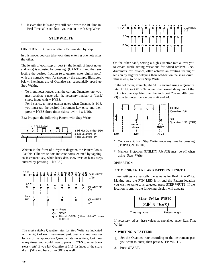<span id="page-15-0"></span>5. If even this fails and you still can't write the BD line in Real Time, all is not lost - you can do it with Step Write.

#### **STEPWRITE**

FUNCTION Create or alter a Pattern step by step.

In this mode, you can take your time entering one note after the other.

The length of each step or beat  $(=$  the length of input notes and rests) is adjusted by pressing QUANTIZE and then selecting the desired fraction (e.g. quarter note, eighth note) with the numeric keys. As shown by the example illustrated below, intelligent use of Quantize can substantially speed up Step Writing.

\* To input notes longer than the current Quantize rate, you must combine a note with the necessary number of "blank" steps, input with  $+ 1$ /YES.

For instance, to input quarter notes when Quantize is 1/16, you must tap the desired Instrument key once and then press + l/YES three times (since  $1/4 = 4 \times 1/16$ ).

Ex.: Program the following Pattern with Step Write

![](_page_15_Figure_8.jpeg)

Written in the form of a rhythm diagram, the Pattern looks like this. (The white dots indicate notes, entered by tapping an Instrument key, while black dots show rests or blank steps, entered by pressing + l/YES.)

![](_page_15_Figure_10.jpeg)

The most suitable Quantize rates for Step Write are indicated on the right of each instrument part. Just to show how selection of the appropriate Quantize rate saves time, look how many times you would have to  $press + lYES$  to enter blank steps (rests) if you left Quantize at 1/16 for input of the snare drum (SD) and bass drum (BD) as well.

![](_page_15_Figure_12.jpeg)

On the other hand, setting a high Quantize rate allows you to create subtle timing variations for added realism. Rock drummers, for instance, often achieve an exciting feeling of tension by slightly delaying their off-beat on the snare drum. This is easy to do with Step Write.

In the following example, the SD is entered using a Quantize rate of  $1/96$  (= OFF). To obtain the desired delay, input the SD notes one step later than the 2nd (beat 25) and 4th (beat 73) quarter notes, i.e. on beats 26 and 74.

![](_page_15_Figure_15.jpeg)

- **\*** You can exit from Step Write mode any time by pressing STOP/CONTINUE.
- **\*** Memory Protection (UTILITY Job #03) must be off when using Step Write.

#### OPERATION

#### • **TIME SIGNATURE AND PATTERN LENGTH**

These settings are basically the same as for Real Time Write. Making sure the PTN LED is lit and the Pattern location you wish to write to is selected, press STEP WRITE. If the location is empty, the following display will appear:

![](_page_15_Figure_21.jpeg)

If necessary, adjust these values as explained under Real Time Write.

#### • **WRITING A PATTERN**

- 1. Set the Quantize rate according to the instrument part you want to enter, then press STEP WRITE.
- 2. Press START.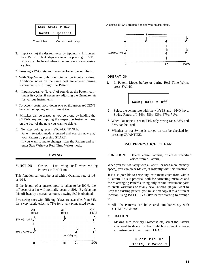<span id="page-16-0"></span>![](_page_16_Figure_0.jpeg)

- 3. Input (write) the desired voice by tapping its Instrument key. Rests or blank steps are input by pressing + l/YES. Voices can be heard when input and during successive cycles.
- **\*** Pressing l/NO lets you revert to lower bar numbers.
- **\*** With Step Write, only one note can be input at a time. Additional notes on the same beat are entered during successive runs through the Pattern.
- 4. Input successive "layers" of sounds as the Pattern continues its cycles, if necessary adjusting the Quantize rate for various instruments.
- **\*** To accent beats, hold down one of the green ACCENT keys while tapping an Instrument key.
- **\*** Mistakes can be erased as you go along by holding the CLEAR key and tapping the respective Instrument key on the beat of the note you want to delete.
- 5. To stop writing, press STOP/CONTINUE. Pattern Selection mode is entered and you can now play your Pattern by pressing START. If you want to make changes, stop the Pattern and reenter Step Write (or Real Time Write) mode.
	- **SWING**

FUNCTION Creates a jazz swing "feel" when writing Patterns in Real Time.

This function can only be used with a Quantize rate of 1/8 or 1/16.

If the length of a quarter note is taken to be l00%, the off-beats of a bar will normally occur at 50%. By delaying this off-beat by a certain amount, a swing feel is obtained.

Five swing rates with differing delays are available, from 54% for a very subtle effect to 71% for a very pronounced swing.

![](_page_16_Figure_13.jpeg)

A setting of 67% creates a triplet-type shuffle effect.

![](_page_16_Figure_15.jpeg)

#### OPERATION

1. In Pattern Mode, before or during Real Time Write, press SWING.

![](_page_16_Figure_18.jpeg)

- 2. Select the swing rate with the  $+1$ /YES and  $-1$ /NO keys. Swing Rates: off, 54%, 58%, 63%, 67%, 71%.
- **\*** When Quantize is set to l/16, only swing rates 58% and 67% can be used.
- **\*** Whether or not Swing is turned on can be checked by pressing QUANTIZE.

#### **PATTERN/VOICE CLEAR**

FUNCTION Deletes entire Patterns, or erases specified voices from a Pattern.

When you are not happy with a Pattern (or need more memory space), you can clear (delete) it instantly with this function.

It is also possible to erase any instrument voice from within a Pattern. This is practical both for correcting mistakes and for re-arranging Patterns, using only certain instrument parts to create variations or totally new Patterns. (If you want to keep the existing pattern, you must first copy it to a different location using PATTERN COPY before starting to arrange it.)

**\*** All 100 Patterns can be cleared simultaneously with UTILITY JOB #05.

#### OPERATION

1. Making sure Memory Protect is off, select the Pattern you want to delete (or from which you want to erase an instrument), then press CLEAR.

![](_page_16_Picture_29.jpeg)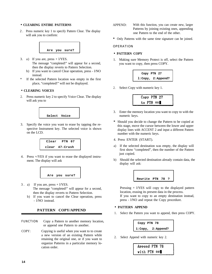#### <span id="page-17-0"></span>• **CLEARING ENTIRE PATTERNS**

2 . Press numeric key 1 to specify Pattern Clear. The display will ask you to confirm:

![](_page_17_Figure_2.jpeg)

- 3. a) If you are,  $press + 1/YES$ . The message "completed!" will appear for a second, then the display reverts to Pattern Selection.
	- b) If you want to cancel Clear operation, press l/NO instead.
- **\*** If the selected Pattern location was empty in the first place, "completed!" will not be displayed.

#### • **CLEARING VOICES**

2. Press numeric key 2 to specify Voice Clear. The display will ask you to

![](_page_17_Figure_8.jpeg)

3. Specify the voice you want to erase by tapping the respective Instrument key. The selected voice is shown on the LCD.

![](_page_17_Figure_10.jpeg)

4. Press +/YES if you want to erase the displayed instrument. The display will ask

![](_page_17_Figure_12.jpeg)

- 3. a) If you are, press  $+1$ /YES. The message "completed!" will appear for a second, then the display reverts to Pattern Selection.
	- b) If you want to cancel the Clear operation, press - l/NO instead.

#### **PATTERN COPY/APPEND**

- FUNCTION Copy a Pattern to another memory location, or append one Pattern to another.
- COPY: Copying is useful when you want to to create a new version of an existing Pattern while retaining the original one, or if you want to organize Patterns in a particular memory location order.
- APPEND: With this function, you can create new, larger Patterns by joining existing ones, appending one Pattern to the end of the other.
- **\*** Only Patterns with the same time signature can be joined.

OPERATION

#### • **PATTERN COPY**

1. Making sure Memory Protect is off, select the Pattern you want to copy, then press COPY.

| Copy PTN 27             |  |
|-------------------------|--|
| $1:$ Copy, $2:$ Append? |  |

2. Select Copy with numeric key 1.

![](_page_17_Figure_25.jpeg)

- 3. Enter the memory location you want to copy to with the numeric keys.
- **\*** Should you decide to change the Pattern to be copied at this stage, move the cursor between the lower and upper display lines with ACCENT 2 and input a different Pattern number with the numeric keys.
- 4. Press ENTER (START).
- a) If the selected destination was empty, the display will first show "completed", then the number of the Pattern just copied.
- b) Should the selected destination already contain data, the display will ask:

![](_page_17_Picture_31.jpeg)

Pressing  $+ 1$ /YES will copy to the displayed pattern location, erasing its present data in the process. If you want to copy to an empty destination instead, press - l/NO and repeat the Copy procedure.

#### • **PATTERN APPEND**

1. Select the Pattern you want to append, then press COPY.

![](_page_17_Picture_35.jpeg)

2. Select Append with numeric key 2.

![](_page_17_Picture_37.jpeg)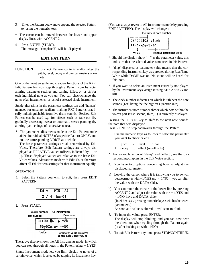- <span id="page-18-0"></span>3. Enter the Pattern you want to append the selected Pattern to, using the numeric keys.
- \* The cursor can be moved between the lower and upper display lines with ACCENT 2.
- 4. Press ENTER (START). The message "completed!" will be displayed.

#### **EDIT PATTERN**

FUNCTION To check Pattern contents and/or alter the pitch, level, decay and pan parameters of each note.

One of the most versatile and creative functions of the RX7, Edit Pattern lets you step through a Pattern note by note, altering parameter settings and turning Effect on or off for each individual note as you go. You can check/change the notes of all instruments, or just of a selected single instrument.

Subtle alterations in the parameter settings can add "human" nuances for uncanny realism, making RX7 Patterns practically indistinguishable from live drum sounds. Besides, Edit Pattern can be used e.g. for effects such as fade-out (by gradually decreasing levels) or automatic stereo panning (by altering pan settings of successive notes).

The parameter adjustments made in the Edit Pattern mode affect individual NOTES of a specific Pattern ONLY, and not the corresponding VOICE as a whole.

The basic parameter settings are all determined by Edit Voice. Therefore, Edit Pattern settings are always displayed as RELATIVE values (offsets, indicated by  $+$  or -). These displayed values are relative to the basic Edit Voice values. Alterations made with Edit Voice therefore affect all Edit Pattern settings for that instrument equally.

#### OPERATION

1. Select the Pattern you wish to edit, then press EDIT PATTERN.

| Edit | PTN          | - 24 |
|------|--------------|------|
|      | $3/4$ :bar04 |      |

2. Press START.

![](_page_18_Figure_13.jpeg)

The above display shows the All Instruments mode, in which you can step through all notes in the Pattern using  $+1/YES$ .

Single Instrument mode lets you limit display to notes of a certain voice, which is selected by tapping its Instrument key.

(You can always revert to All Instruments mode by pressing EDIT PATTERN). The display will change to

![](_page_18_Figure_17.jpeg)

- Should the display show "—" as the parameter value, this indicates that the selected voice is not used in this Pattern.
- \* "dmp" displayed as parameter value means that the corresponding Instrument key was pressed during Real Time Write while DAMP was on. No sound will be heard for this note.
- \* If you want to select an instrument currently not played by the Instrument keys, assign it using KEY ASSIGN Job #01.
- \* The clock number indicates on which l/96th beat the note sounds (1/96 being the the highest Quantize rate).
- \* The instrument note number shows which note within the voice's part (first, second, third,...) is currently displayed.

Pressing the  $+1$ /YES key to shift to the next note sounds the note that was displayed.

Press - 1/NO to step backwards through the Pattern.

- 3. Use the numeric keys as follows to select the parameter you want to check or edit.
	- 1: pitch 2: level 3: pan 4: decay 5: effect (on/off only)
- \* For an explanation of "decay" and "effect", see the corresponding chapters in the Edit Voice section.
- 4. You have two options concerning how to adjust the displayed parameter:
- a) Leaving the cursor where it is (allowing you to switch between notes with  $+1/YES$  and  $-1/NO$ , you can alter the value with the DATA slider.
- b) You can move the cursor to the lower line by pressing ACCENT 2 and adjust the value with the  $+1/YES$  and - 1/NO keys and DATA slider. (In either case, pressing numeric keys switches between

parameters.)

As soon as a value is altered, it will start to blink.

- 5. To input the value, press ENTER. The display will stop blinking, and you can now hear the alteration when cycling through the Pattern again (or after backing up with - 1/NO).
- 6. To exit Edit Pattern any time, press STOP/CONTINUE.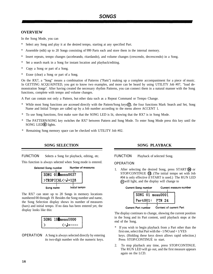#### <span id="page-19-0"></span>**OVERVIEW**

In the Song Mode, you can

- \* Select any Song and play it at the desired tempo, starting at any specified Part.
- \* Assemble (edit) up to 20 Songs consisting of 999 Parts each and store them in the internal memory.
- \* Insert repeats, tempo changes (accelerando, ritardando), and volume changes (crescendo, decrescendo) in a Song.
- \* Set a search mark in a Song for instant location and playback/editing.
- \* Copy a Song or part of a Song.
- \* Erase (clear) a Song or part of a Song.

On the RX7, a "Song" means a combination of Patterns ("Parts") making up a complete accompaniment for a piece of music. In GETTING ACQUAINTED, you got to know two examples, and more can be heard by using UTILITY Job #07, "load demonstration Songs". After having created the necessary rhythm Patterns, you can connect them in a natural manner with the Song functions, complete with tempo and volume changes.

A Part can contain not only a Pattern, but other data such as a Repeat Command or Tempo Change.

- $*$  While most Song functions are accessed directly with the Pattem/Song keys $(\hat{\theta})$ , the four functions Mark Search and Set, Song Name and Initial Tempo are called up by a Job number according to the menu above ACCENT 1.
- \* To use Song functions, first make sure that the SONG LED is lit, showing that the RX7 is in Song Mode.
- \* The PATTERN/SONG key switches the RX7 between Pattern and Song Mode. To enter Song Mode press this key until the SONG LED $\textcircled{\textbf{0}}$  lights.
- \* Remaining Song memory space can be checked with UTILITY Job #02.

FUNCTION Selects a Song for playback, editing, etc.

This function is always selected when Song mode is entered.

![](_page_19_Figure_18.jpeg)

The RX7 can store up to 20 Songs in memory locations numbered 00 through 19. Besides the Song number and name, the Song Selection display shows its number of measures (bars) and initial tempo. If no data has been entered yet, the display looks like this:

![](_page_19_Figure_20.jpeg)

OPERATION A Song is always selected directly by entering its two-digit number with the numeric keys.

#### **SONG SELECTION SONG PLAYBACK**

FUNCTION Playback of selected Song.

**OPERATION** 

1. After selecting the desired Song, press START <sup>1</sup> STOP/CONTINUE (13). (The initial tempo set with Job will light, and the display will change to #04 is only effective if START is used.) The RUN LED

| <b>Current Song number</b> |                  |  |  | Current measure number |
|----------------------------|------------------|--|--|------------------------|
|                            | SONG 01 meas0001 |  |  |                        |
|                            | Part001: PTN 24  |  |  |                        |
|                            |                  |  |  |                        |

Content of current Part Current Part number

The display continues to change, showing the current position in the Song and its Part content, until playback stops at the end of the Song.

- \* If you wish to begin playback from a Part other than the first one, select that Part with the - 1/NO and + 1/YES keys. (Holding these keys down allows rapid selection.) Press STOP/CONTINUE to start.
- 2. To stop playback any time, press STOP/CONTINUE. The RUN LED will go out, and the first measure appears again on the LCD.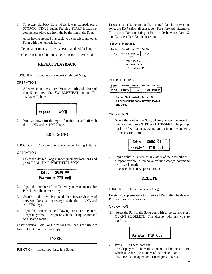- <span id="page-20-0"></span>3. To restart playback from where it was stopped, press STOP/CONTINUE again. Pressing START instead recommences playback from the beginning of the Song.
- 4. After having stopped playback, you can select any other Song with the numeric keys.
- Tempo adjustments can be made as explained for Patterns.
- Click can be used but must be set in the Pattern Mode.

#### **REPEAT PLAYBACK**

FUNCTION Continuously repeat a selected Song.

#### **OPERATION**

1. After selecting the desired Song, or during playback of that Song, press the SWING/REPEAT button. The display will show

![](_page_20_Figure_8.jpeg)

2. You can now turn the repeat function on and off with the  $-1/NO$  and  $+1/YES$  keys.

#### **EDIT SONG**

FUNCTION Create or alter Songs by combining Patterns.

#### **OPERATION**

1. Select the desired Song number (memory location) and press REAL TIME WRITE/EDIT SONG.

| Edit                          | SONG 00 |  |
|-------------------------------|---------|--|
| Part001= PTN $**\blacksquare$ |         |  |

- 2. Input the number of the Pattern you want to use for Part 1 with the numeric keys.
- 3. Switch to the next Part (and then forward/backward between Parts as necessary) with the - 1/NO and + 1/YES keys.
- 4. Input the contents of the following Parts i.e. a Pattern, a repeat symbol, a tempo or volume change command or a search mark.

Other practical Edit Song functions you can now use are Insert, Delete and Pattern Copy.

#### **INSERT**

FUNCTION Insert new Parts in a Song.

In order to make room for the inserted Part in an existing song, the RX7 shifts all subsequent Parts forward. Example: To insert a Part consisting of Pattern 99 between Parts 02 and 03, select Part 03 for insertion.

BEFORE INSERTING

| Part 001 | Part 002    Part 003                                 | Part 004 |
|----------|------------------------------------------------------|----------|
|          | PTN 01 PTN 02 PTN 03 PTN 04                          |          |
|          | Insert point<br>for new pattern<br>E.g., Pattern 99. |          |

AFTER INSERTING

| Part 001                                   | Part 002 Part 003 | Part 004 | <b>Part 005</b> |
|--------------------------------------------|-------------------|----------|-----------------|
| PTN 01   PTN 02   PTN 99   PTN 03   PTN 04 |                   |          |                 |

Pattern 99 inserted into Part 3. All subsequent parts moved forward one step.

#### OPERATION

1. Select the Part of the Song where you wish to insert a new Part and press STEP WRITE/INSERT. The prompt mark "\*\*" will appear, asking you to input the contents of the inserted Part.

![](_page_20_Figure_29.jpeg)

2. Input either a Pattern or any other of the possibilities a repeat symbol, a tempo or volume change command or a search mark. To cancel data entry, press - 1/NO.

#### **DELETE**

FUNCTION Erase Parts of a Song.

Delete is complementary to Insert - all Parts after the deleted Part are moved backwards.

#### **OPERATION**

1. Select the Part of the Song you wish to delete and press QUANTIZE/DELETE. The display will ask you to confirm:

![](_page_20_Picture_36.jpeg)

2. Press + 1/YES to confirm.

The display will show the contents of the "next" Part, which now has the number of the deleted Part. To cancel delete operation instead, press - 1/NO.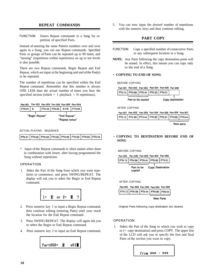#### **REPEAT COMMANDS**

<span id="page-21-0"></span>FUNCTION Enters Repeat commands in a Song for repetition of specified Parts.

Instead of entering the same Pattern numbers over and over again in a Song, you can use Repeat commands. Specified Parts or groups of Parts can be repeated up to 99 times, and "nesting" (repetitions within repetitions) on up to ten levels is also possible.

There are two Repeat commands, Begin Repeat and End Repeat, which are input at the beginning and end of the Part(s) to be repeated.

The number of repetitions can be specified within the End Repeat command. Remember that this number is always ONE LESS than the actual number of times you hear the specified section (which  $= 1$  playback  $+ N$  repetitions).

 $\sqrt{04}$ 

| Part 001 Part 002 Part 003 Part 004 Part 005 Part 006 |  |  |  |
|-------------------------------------------------------|--|--|--|
|                                                       |  |  |  |

| l PTN 01 | 1t |                | PTN 02   PTN 03   $\text{H} \times 2$   PTN |              |                |
|----------|----|----------------|---------------------------------------------|--------------|----------------|
|          |    | "Begin Repeat" |                                             | "End Repeat" |                |
|          |    |                |                                             |              | "Repeat twice" |

ACTUAL-PLAYING SEQUENCE

|  |  |  | PTN 01   PTN 02   PTN 03   PTN 02   PTN 03   PTN 02   PTN 03   PTN 04 |
|--|--|--|-----------------------------------------------------------------------|
|  |  |  |                                                                       |

Input of the Repeat commands is often easiest when done in combination with Insert, after having programmed the Song without repetitions.

#### **OPERATION**

1. Select the Part of the Song from which you want repetition to commence, and press SWING/REPEAT. The display will ask you to select the Begin or End Repeat command.

![](_page_21_Figure_12.jpeg)

- 2. Press numeric key 1 to input a Begin Repeat command, then continue editing (entering Parts) until your reach the location for the End Repeat command.
- 3. Press SWING/REPEAT. The display will again ask you to select the Begin or End Repeat command.
- 4. Press numeric key 2 to input an End Repeat command.

![](_page_21_Picture_16.jpeg)

5. You can now input the desired number of repetitions with the numeric keys and then continue editing.

#### **PART COPY**

- FUNCTION Copy a specified number of consecutive Parts to any subsequent location in a Song.
- **NOTE:** Any Parts following the copy destination point will be erased. In effect, this means you can copy only to the end of a Song.

#### • **COPYING TO END OF SONG**

BEFORE COPYING

| Part 001 Part 002 Part 003 Part 004 Part 005 Part 006 |  |                  |
|-------------------------------------------------------|--|------------------|
| PTN 12   PTN 99   PTN 44   PTN 93   PTN 31            |  |                  |
| Part to be copied                                     |  | Copy destination |

AFTER COPYING

|                                                  | Part 001 Part 002 Part 003 Part 004 Part 005 Part 006 Part 007 |  |  |
|--------------------------------------------------|----------------------------------------------------------------|--|--|
| PTN 12 PTN 99 PTN 44 PTN 93 PTN 31 PTN 99 PTN 44 |                                                                |  |  |

New parts

#### • **COPYING TO DESTINATION BEFORE END OF SONG**

BEFORE COPYING

| Part 001 Part 002 Part 003 Part 004 Part 005 |  |                                            |
|----------------------------------------------|--|--------------------------------------------|
|                                              |  | PTN 12   PTN 99   PTN 44   PTN 93   PTN 31 |
|                                              |  |                                            |

Part to be Copy Destination copied

#### AFTER COPYING

| Part 001 Part 002 Part 003 Part 004 Part 005 |  |                                            |
|----------------------------------------------|--|--------------------------------------------|
|                                              |  | PTN 12   PTN 99   PTN 44   PTN 99   PTN 44 |
|                                              |  |                                            |

**New Parts** 

Original Parts following copy destination are cleared.

#### OPERATION

1. Select the Part of the Song to which you wish to copy to  $(=$  copy destination) and press COPY. The upper line of the LCD will ask you to specify the first and final Parts of the section you want to copy:

![](_page_21_Picture_37.jpeg)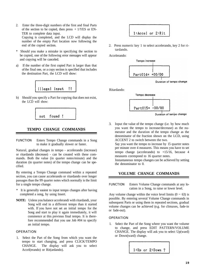- <span id="page-22-0"></span>2. Enter the three-digit numbers of the first and final Parts of the section to be copied, then press  $+1/YES$  or EN-TER to complete data input. Copying is completed, and the LCD will display the number of the empty Part location now following the end of the copied section.
- \* Should you make a mistake in specifying the section to be copied, one of the following error messages will appear and copying will be canceled.
- a) If the number of the first copied Part is larger than that of the final one, or a copy section is specified that includes the destination Part, the LCD will show:

![](_page_22_Figure_3.jpeg)

b) Should you specify a Part for copying that does not exist, the LCD will show:

![](_page_22_Figure_5.jpeg)

#### **TEMPO CHANGE COMMANDS**

FUNCTION Enters Tempo Change commands in a Song to make it gradually slower or faster.

Natural, gradual changes in tempo - accelerando (increase) or ritardando (decrease) - can be created with these commands. Both the value (in quarter notes/minute) and the duration (in quarter notes) of the tempo change can be specified.

By entering a Tempo Change command within a repeated section, you can cause accelerando or ritardando over longer passages than the 99 quarter notes which normally is the limit for a single tempo change.

- It is generally easiest to input tempo changes after having completed a song, by using Insert.
- **NOTE:** Unless you balance accelerandi with ritardandi, your Song will end in a different tempo than it started with. If you have not set an initial tempo for the Song and start to play it again immediately, it will commence at this previous final tempo. It is therefore recommended that you use Job #04 to specify an initial tempo.

#### **OPERATION**

1. Select the Part of the Song from which you want the tempo to start changing, and press CLICK/TEMPO CHANGE. The display will ask you to select Accel(erando) or Rit(ardando).

# 1:Accel or 2:Rit

2. Press numeric key 1 to select accelerando, key 2 for ritardando.

Accelerando:

![](_page_22_Figure_17.jpeg)

Duration of tempo change

Ritardando:

![](_page_22_Figure_20.jpeg)

Duration of tempo change

3. Input the value of the tempo change (i.e. by how much you want the tempo to increase/decrease) as the numerator and the duration of the tempo change as the denominator of the fraction shown on the LCD, using ACCENT 2 to switch between the two.

Say you want the tempo to increase by 15 quarter notes per minute over 4 measures. This means you have to set tempo change (accelerando) to  $+15/16$ , because 4 measures correspond to 16 quarter notes.

Instantaneous tempo changes can be achieved by setting the denominator to 0.

#### **VOLUME CHANGE COMMANDS**

FUNCTION Enters Volume Change commands at any location in a Song, to raise or lower level.

Any volume change within the voice level limits  $(0 \sim 63)$  is possible. By entering several Volume Change commands in subsequent Parts or using them in repeated sections, gradual volume changes can be achieved (e.g. for climaxes, fade-in or fade-out).

#### **OPERATION**

1. Select the Part of the Song where you want the volume to change, and press EDIT PATTERN/VOLUME CHANGE. The display will ask you to select Up(ward) or Down(ward) change.

 $1:Up$  or  $2:Down$ ?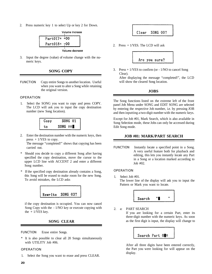<span id="page-23-0"></span>2. Press numeric key 1 to select Up or key 2 for Down.

![](_page_23_Figure_1.jpeg)

3. Input the degree (value) of volume change with the numeric keys.

#### **SONG COPY**

FUNCTION Copy entire Songs to another location. Useful when you want to alter a Song while retaining the original version.

#### OPERATION

1. Select the SONG you want to copy and press COPY. The LCD will ask you to input the copy destination number (new Song location).

![](_page_23_Figure_7.jpeg)

2. Enter the destination number with the numeric keys, then press  $+1$ /YES to copy.

The message "completed!" shows that copying has been carried out.

- \* Should you decide to copy a different Song after having specified the copy destination, move the cursor to the upper LCD line with ACCENT 2 and enter a different Song number.
- \* If the specified copy destination already contains a Song, this Song will be erased to make room for the new Song. To avoid mistakes, the LCD asks

![](_page_23_Picture_12.jpeg)

if the copy destination is occupied. You can now cancel Song Copy with the - 1/NO key or execute copying with the  $+1$ /YES key.

#### **SONG CLEAR**

FUNCTION Erase entire Songs.

It is also possible to clear all 20 Songs simultaneously with UTILITY Job #06.

#### **OPERATION**

1. Select the Song you want to erase and press CLEAR.

#### Clear **SONG 00?**

2. Press + 1/YES. The LCD will ask

![](_page_23_Figure_21.jpeg)

3. Press  $+1/YES$  to confirm (or - 1/NO to cancel Song Clear).

After displaying the message "completed!", the LCD will show the cleared Song location.

#### **JOBS**

The Song functions listed on the extreme left of the front panel Job Menu under SONG and EDIT SONG are selected by entering the respective Job number, i.e. by pressing JOB and then inputting a two-digit number with the numeric keys.

Except for Job #01, Mark Search, which is also available in Song Selection mode, these Jobs can only be accessed during Edit Song mode.

#### **JOB #01: MARK/PART SEARCH**

FUNCTION Instantly locate a specified point in a Song. A very useful feature both for playback and editing, this lets you instantly locate any Part in a Song or a location marked according to Job #02.

#### **OPERATION**

1. Select Job #01. The lower line of the display will ask you to input the Pattern or Mark you want to locate.

![](_page_23_Picture_31.jpeg)

2. a: PART SEARCH

If you are looking for a certain Part, enter its three-digit number with the numeric keys. As soon as the first digit is input, the display will change to

![](_page_23_Picture_34.jpeg)

After all three digits have been entered correctly, the Part you were looking for will appear on the display.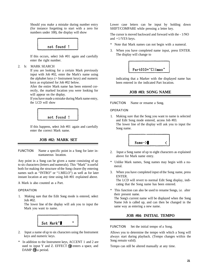<span id="page-24-0"></span>Should you make a mistake during number entry (for instance forgetting to start with a zero for numbers under 100), the display will show

![](_page_24_Figure_1.jpeg)

If this occurs, select Job #01 again and carefully enter the right number.

2. b: MARK SEARCH

If you are looking for a certain Mark previously input with Job #02, enter the Mark's name using the alphabet keys (= Instrument keys) and numeric keys as explained for Job #02 below.

After the entire Mark name has been entered correctly, the marked location you were looking for will appear on the display.

If you have made a mistake during Mark name entry, the LCD will show

![](_page_24_Picture_7.jpeg)

If this happens, select Job #01 again and carefully enter the correct Mark name.

#### **JOB #02: MARK SET**

FUNCTION Name a specific point in a Song for later instantaneous location.

Any point in a Song can be given a name consisting of up to six characters (letters and numerals). This "Mark" is useful both for making the structure of the Song clearer (by entering names such as "INTRO" or "1.MELO") as well as for later instant location at any time using Job #01 explained above.

A Mark is also counted as a Part.

#### **OPERATION**

1. Making sure that the Edit Song mode is entered, select Job #02.

The lower line of the display will ask you to input the Mark you want to name.

![](_page_24_Figure_16.jpeg)

- 2. Input a name of up to six characters using the Instrument keys and numeric keys.
- \* In addition to the Instrument keys, ACCENT 1 and 2 are used to input Y and Z. EFFECT  $(1)$  enters a space, and DAMP **(9**) a period.

Lower case letters can be input by holding down SHIFT/COMPARE while pressing a letter key.

The cursor is moved backward and forward with the - 1/NO and +1/YES keys.

- \* Note that Mark names can not begin with a numeral.
- 3. When you have completed name input, press ENTER. The display will change to

![](_page_24_Figure_23.jpeg)

indicating that a Marker with the displayed name has been entered in the indicated Part location.

#### **JOB #03: SONG NAME**

FUNCTION Name or rename a Song.

#### **OPERATION**

1. Making sure that the Song you want to name is selected and Edit Song mode entered, access Job #03. The lower line of the display will ask you to input the Song name.

![](_page_24_Picture_29.jpeg)

- 2. Input a Song name of up to eight characters as explained above for Mark name entry.
- \* Unlike Mark names, Song names may begin with a numeral.
- 3. When you have completed input of the Song name, press ENTER.

The LCD will revert to normal Edit Song display, indicating that the Song name has been entered.

\* This function can also be used to rename Songs, i.e. alter their present name.

The Song's current name will be displayed when the Song Name Job is called up, and can then be changed in the same way as entering a new name.

#### **JOB #04: INITIAL TEMPO**

FUNCTION Set the initial tempo of a Song.

Allows you to determine the tempo with which a Song will always start during playback. (Tempo changes within the Song remain valid).

Tempo can still be altered manually at any time.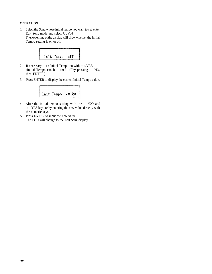#### OPERATION

1. Select the Song whose initial tempo you want to set, enter Edit Song mode and select Job #04. The lower line of the display will show whether the Initial Tempo setting is on or off.

![](_page_25_Figure_2.jpeg)

- 2. If necessary, turn Initial Tempo on with + 1/YES. (Initial Tempo can be turned off by pressing - 1/NO, then ENTER.)
- 3. Press ENTER to display the current Initial Tempo value.

![](_page_25_Figure_5.jpeg)

- 4. Alter the initial tempo setting with the 1/NO and + 1/YES keys or by entering the new value directly with the numeric keys.
- 5. Press ENTER to input the new value. The LCD will change to the Edit Song display.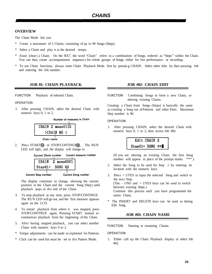#### <span id="page-26-0"></span>**OVERVIEW**

The Chain Mode lets you

- \* Create a maximum of 3 Chains consisting of up to 90 Songs (Steps).
- \* Select a Chain and play it at the desired tempo.
- Erase (clear) a Chain. On the RX7, the word "Chain" refers to a combination of Songs, ordered as "Steps" within the Chain. You can thus create accompaniment sequence s for whole groups of Songs, either for live performance or recording.
- To use Chain functions, always enter Chain Playback Mode first by pressing CHAIN. Select other Jobs by then pressing Job and entering the Job number.

#### **JOB 01: CHAIN PLAYBACK JOB #02: CHAIN EDIT**

FUNCTION Playback of selected Chain.

#### OPERATION

1. After pressing CHAIN, select the desired Chain with numeric keys 0, 1 or 2.

Number of measures in Chain

| CHAIN 2 meas0115 |  |  |  |
|------------------|--|--|--|
| >CHAIN ME <      |  |  |  |
|                  |  |  |  |

Chain name

2. Press START (4) or STOP/CONTINUE 13. The RUN LED will light, and the display will change to

![](_page_26_Figure_15.jpeg)

![](_page_26_Picture_16.jpeg)

**Current Step number Current Song number** 

The display continues to change, showing the current position in the Chain and the current Song (Step) until playback stops at the end of the Chain.

- 3. To stop playback at any time, press STOP/CONTINUE. The RUN LED will go out, and the first measure appears again on the LCD.
- 4. To restart playback from where it was stopped, press STOP/CONTINUE again. Pressing START instead recommences playback from the beginning of the Chain.
- 5. After having stopped playback, you can select another Chain with numeric keys 0 to 2.
- Tempo adjustments can be made as explained for Patterns.
- \* Click can be used but must be set in the Pattern Mode.

FUNCTION Combining Songs to form a new Chain, or altering existing Chains.

Creating a Chain from Songs (Steps) is basically the same as creating a Song out of Patterns and other Parts. Maximum Step number is 90.

#### **OPERATION**

1. After pressing CHAIN, select the desired Chain with numeric keys 0, 1 or 2, then access Job #02.

> Edit CHAIN 2 Step01= SONG \*\*

(If you are altering an existing Chain, the first Song number will appear in place of the prompt marks "\*\*".)

- 2. Select the Song to be used for Step 1 by entering its location with the numeric keys.
- 3. Press  $+1/YES$  to input the selected Song and switch to the next Step. (The  $-1/NO$  and  $+1/YES$  keys can be used to switch between existing Steps.) Continue this process until you have programmed the entire Chain.
- \* The INSERT and DELETE keys can be used as during Edit Song.

#### **JOB #03: CHAIN NAME**

FUNCTION Naming or renaming Chains.

#### **OPERATION**

1. Either call up the Chain Playback display or select Job #03.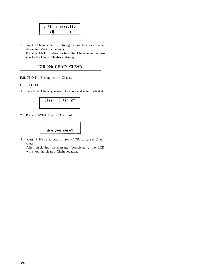<span id="page-27-0"></span>

| $CHAIN 2 \cdot meas0115$ |
|--------------------------|
|                          |

2. Input a Chain name of up to eight characters as explained above for Mark name entry. Pressing ENTER after writing the Chain name returns you to the Chain Playback display .

#### **JOB #04: CHAIN CLEAR**

FUNCTION Erasing entire Chains .

#### OPERATION

1. Select the Chain you want to eras e and enter Job #04.

![](_page_27_Figure_6.jpeg)

2. Press + 1/YES. The LCD will ask

![](_page_27_Picture_8.jpeg)

3. Press  $+1/YES$  to confirm (or  $-1/NO$  to cancel Chain Clear).

After displaying the message "completed!", the LCD will show the cleared Chain location.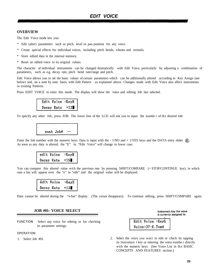#### <span id="page-28-0"></span>**OVERVIEW**

The Edit Voice mode lets you:

- \* Edit (alter) parameters such as pitch, level or pan position for any voice.
- \* Create special effects for individual voices, including pitch bends, vibrato and tremolo.
- Store edited data in the internal memory.
- \* Reset an edited voice to its original values.

The character of individual instruments can be changed dramatically with Edit Voice, particularly by adjusting a combination of parameters, such as e.g. decay rate, pitch bend rate/range and pitch.

Edit Voice allows you to set the basic values of certain parameters which can be additionally altered according to Key Assign (see below) and, on a note by note basis, with Edit Pattern as explained above. Changes made with Edit Voice also affect instruments in existing Patterns.

Press EDIT VOICE to enter this mode. The display will show the voice and editing Job last selected.

| Edit Voice :KeyH |       |
|------------------|-------|
| Decay Rate       | $=13$ |

To specify any other Job, press JOB. The lower line of the LCD will ask you to input the numbe r of th e desired Job:

| push Job# |  |  |
|-----------|--|--|

Enter the Job number with the numeric keys. Data is input with the  $-1/NO$  and  $+1/YES$  keys and the DATA entry slider  $(4)$ . As soon as any data is altered, the "E" in "Edit Voice" will change to lower case.

| edit Voice | :KeyH |
|------------|-------|
| Decay Rate | $=15$ |

You can compare this altered value with the previous one by pressing SHIFT/COMPARE (= STOP/CONTINUE key), in which case a bar will appear over the "e" in "edit" and the original value will be displayed.

| edit Voice | :KeyH |
|------------|-------|
| Decay Rate | $-13$ |

Data cannot be altered during the "e-bar" display. (The cursor disappears). To continue editing, press SHIFT/COMPARE again.

#### **JOB #01: VOICE SELECT**

FUNCTION Select any voice for editing or for checking its parameter settings.

#### **OPERATION**

Instrument key the voice is currently assigned to

 $\mathbf{H}$ 

| Edit Voice:KeyG   |  |
|-------------------|--|
| Voice: 37-E. Tom4 |  |

1. Select Job #01. 2. Select the voice you want to edit or check by tapping its Instrumen t key or entering the voice numbe r directly with the numeric keys. (See Voice List in the BASIC CONCEPTS AND FEATURES section.)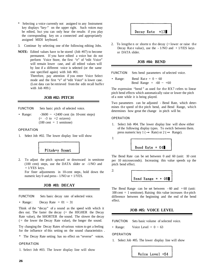- <span id="page-29-0"></span>Selecting a voice currently not assigned to any Instrument key displays "key-" on the upper right. Such voices may be edited, but you can only hear the results if you play the corresponding key on a connected and appropriately assigned MIDI keyboard.
- 3. Continue by selecting one of the following editing Jobs.
- **NOTE:** Edited values have to be stored (Job #07) to become permanent. If you have edited a voice but do not perform Voice Store, the first "e" of "edit Voice" will remain lower case, and all edited values will by lost if a different voice is selected (or the same one specified again) with Job #01.

Therefore, pay attention if you enter Voice Select mode and the first "e" of "edit Voice" is lower case. (Lost data can be retrieved from the edit recall buffer with Job #09.)

#### **JOB #02: PITCH**

- FUNCTION Sets basic pitch of selected voice.
- 

• Range:  $-3600 \sim +2400$  cent (in 10-cent steps)  $(= -3$  to  $+2$  octaves)  $(100 \text{ cent } = 1 \text{ semitone})$ 

#### OPERATION

1. Select Job #02. The lower display line will show

![](_page_29_Figure_10.jpeg)

2. To adjust the pitch upward or downward in semitone (100 cent) steps, use the DATA slider or -1/NO and + 1/YES keys.

For finer adjustments in 10-cent steps, hold down the numeric key 0 and press - 1/NO or + 1/YES.

#### **JOB #03: DECAY**

FUNCTION Sets basic decay rate of selected voice.

• Range: Decay Rate  $= 01 \approx 31$ 

Think of the "decay" of a sound as the speed with which it dies out. The faster the decay  $(=$  the HIGHER the Decay Rate value), the SHORTER the sound. The slower the decay  $($  = the lower the Decay Rate value), the longer the sound.

Try changing the Decay Rates of various voices to get a feeling for the influence of this setting on the sound characteristics .

\* The Decay Rate setting has no effect on "reverse" voices.

#### OPERATION

1. Select Job #03. The lower display line will show

![](_page_29_Picture_21.jpeg)

2. To lengthe n or shorte n the decay  $($ = lower or raise the Decay Rate value), use the  $-1/NO$  and  $+1/YES$  keys or DATA slider.

#### **JOB #04: BEND**

FUNCTION Sets bend parameters of selected voice.

• Range: Bend Rat  $e = 0 \sim 60$ Bend Range =  $-60 \sim +60$ 

The expression "bend" as used for the RX7 refers to linear pitch bend effects which automatically raise or lower the pitch of a note while it is being played.

Two parameters can be adjusted - Bend Rate, which determines the speed of the pitch bend, and Bend Range, which determines how great the change in pitch will be.

#### OPERATION

1. Select Job #04. The lower display line will show either of the following display types. To switch between them. press numeric key 1 ( $\rightarrow$  Rate) or 2 ( $\rightarrow$  Range).

1:

2:

Bend Rate =  $04$ 

The Bend Rate can be set between 0 and 60 (unit: 10 cent per 10 microseconds). Increasing this value speeds up the pitch bend effect.

$$
\boxed{\text{Bend Range = + 08}}
$$

The Bend Range can be set between  $-60$  and  $+60$  (unit:  $100$  cent  $= 1$  semitone). Raising this value increases the pitch difference between the beginning and the end of the bend effect.

#### **JOB #05: VOICE LEVEL**

FUNCTION Sets basic volume of selected voice.

• Range: Voice Level =  $0 \sim 63$ 

OPERATION

1. Select Job #05. The lower display line will show

Voice Level =54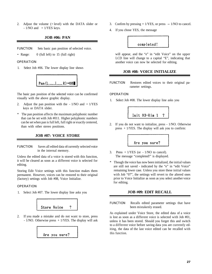<span id="page-30-0"></span>2. Adjust the volume (= level) with the DATA slider or  $-1/NO$  and  $+1/YES$  keys.

#### **JOB #06: PAN**

FUNCTION Sets basic pan position of selected voice.

• Range: 0 (full left) to 15 (full right)

#### **OPERATION**

1. Select Job #06. The lower display line shows

![](_page_30_Figure_6.jpeg)

The basic pan position of the selected voice can be confirmed visually with the above graphic display.

- 2. Adjust the pan position with the  $-1/NO$  and  $+1/YES$ keys or DATA slider.
- The pan position affects the maximum polyphonic number that can be set with Job #011. Higher polyphonic numbers can be set when pan is full left, full right or exactly centered, than with other stereo positions.

#### **JOB #07: VOICE STORE**

FUNCTION Saves all edited data of currently selected voice in the internal memory.

Unless the edited data of a voice is stored with this function, it will be cleared as soon as a different voice is selected for editing.

Storing Edit Voice settings with this function makes them permanent. However, voices can be restored to their original (factory) settings with Job #08, Voice Initialize.

#### **OPERATION**

1. Select Job #07. The lower display line asks you

![](_page_30_Figure_16.jpeg)

2. If you made a mistake and do not want to store, press - 1/NO. Otherwise press + 1/YES. The display will ask

![](_page_30_Figure_18.jpeg)

- 3. Confirm by pressing  $+1/YES$ , or press  $-1/NO$  to cancel.
- 4. If you chose YES, the message

![](_page_30_Picture_21.jpeg)

will appear, and the "e" in "edit Voice" on the upper LCD line will change to a capital "E", indicating that another voice can now be selected for editing.

#### **JOB #08: VOICE INITIALIZE**

FUNCTION Restores edited voices to their original parameter settings.

#### **OPERATION**

1. Select Job #08. The lower display line asks you

![](_page_30_Figure_27.jpeg)

2. If you do not want to initialize, press - 1/NO. Otherwise press  $+1$ /YES. The display will ask you to confirm:

Are you sure?

- 3. Press  $+1/YES$  (or  $-1/NO$  to cancel). The message "completed!" is displayed.
- \* Though the voice has now been initialized, the initial values are still not saved - indicated by the "e" in "edit Voice" remaining lower case. Unless you store these initial values with Job "07", the settings will revert to the altered ones prior to Voice Initialize as soon as you select another voice for editing.

#### **JOB #09: EDIT RECALL**

FUNCTION Recalls edited parameter settings that have been mistakenly erased.

As explained under Voice Store, the edited data of a voice is lost as soon as a different voice is selected with Job #01, unless it has been stored. Should you forget this and switch to a different voice before saving data you are currently editing, the data of the last voice edited can be recalled with this function.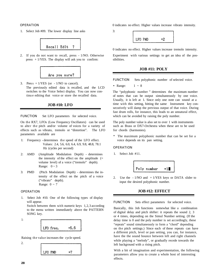#### <span id="page-31-0"></span>**OPERATION**

1. Select Job #09. The lower display line asks

![](_page_31_Figure_2.jpeg)

2. If you do not want to recall, press - 1/NO. Otherwise press  $+1$ /YES. The display will ask you to confirm:

![](_page_31_Figure_4.jpeg)

3. Press  $+1/YES$  (or  $-1/NO$  to cancel). The previously edited data is recalled, and the LCD switches to the Voice Select display. You can now continu e editing that voice or store the recalled data.

#### **JOB #10: LFO**

FUNCTION Set LFO parameters for selected voice.

On the RX7, LFOs (Low Frequency Oscillators) can be used to alter the pitch and/or volume of voices for a variety of effects such as vibrato, tremolo or "distortion". The LFO parameters available are

- 1: Frequency determines the speed of the LFO effect. Values: 2.4, 5.6, 6.0, 6.4, 6.9, 9.8, 48.8, 78.1 Hz (cycles per second)
- 2: AMD (Amplitude Modulation Depth) determines the intensity of the effect on the amplitude  $(=$ volume level) of a voice ("tremolo" depth). Range:  $0 \sim 3$
- 3: PMD (Pitch Modulation Depth) determines the intensity of the effect on the pitch of a voice ("vibrato" depth). Range:  $0 \sim 7$

#### **OPERATION**

1. Select Job #10. One of the following types of display will appear. Switch between them with numeric keys 1,2,3 according

to the menu written immediately above the PATTERN SONG key.

![](_page_31_Figure_15.jpeg)

![](_page_31_Figure_16.jpeg)

Raising th e valu e increases the cycle speed.

2.

![](_page_31_Figure_19.jpeg)

0 indicates no effect. Higher values increase vibrato intensity.

3:

![](_page_31_Picture_22.jpeg)

0 indicates no effect. Higher values increase tremolo intensity.

Experiment with various settings to get an idea of the possibilities.

#### **JOB #11: POLY**

FUNCTION Sets polyphonic number of selected voice.

• Range:  $1 \sim 8$ 

The "polyphonic number " determines the maximum number of notes that can be output simultaneously by one voice. Usually, it is left at 1. Since only one note can sound at a time with this setting, hitting the same Instrument key consecutively will damp the previous output of that voice. During fast drum rolls, for instance, this leads to an unnatural effect, which can be avoided by raising the poly number.

The poly number value is also set to over 1 with instruments such as Brass or DX7-Orchestra when these are to be used for chords (harmonies).

\* The maximum polyphonic number that can be set for a voice depends on its pan setting.

#### OPERATION

1. Select Job #11.

![](_page_31_Picture_33.jpeg)

2. Use the  $-1/NO$  and  $+1/YES$  keys or DATA slider to input the desired polyphonic number.

#### **JOB #12: EFFECT**

FUNCTION Sets effect parameters for selected voice.

Basically, this Job functions somewhat like a combination of digital delay and pitch shifter: it repeats the sound 2, 3 or 4 times, depending on the Simul Number setting. (If the delay time is 0 and the poly number is set accordingly, these "repeats" sound simultaneously to form a "chord" depending on the pitch settings.) Since each of these repeats can have a different pitch, level or pan setting, you can, for instance, have the the sound bounce between left and right channels while playing a "melody", or gradually recede towards the left background with a rising pitch.

With a bit of imagination and experimentation, the following parameters allow you to create a whole host of interesting effects.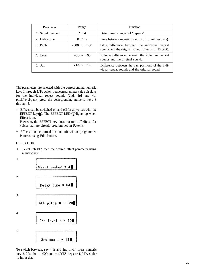| Parameter       | Range            | <b>Function</b>                                                                                        |  |
|-----------------|------------------|--------------------------------------------------------------------------------------------------------|--|
| 1: Simul number | $2 \sim 4$       | Determines number of "repeats".                                                                        |  |
| 2: Delay time   | $0 \sim 50$      | Time between repeats (in units of 10 milliseconds).                                                    |  |
| 3: Pitch        | $-600 \sim +600$ | Pitch difference between the individual repeat<br>sounds and the original sound (in units of 10 cent). |  |
| 4: Level        | $-63 - +63$      | Volume difference between the individual repeat<br>sounds and the original sound.                      |  |
| $5:$ Pan        | $-14 \sim +14$   | Difference between the pan positions of the indi-<br>vidual repeat sounds and the original sound.      |  |

The parameters are selected with the corresponding numeric keys 1 through 5. To switch between parameter value displays for the individual repeat sounds (2nd, 3rd and 4th pitch/level/pan), press the corresponding numeric keys 3 through 5.

\* Effects can be switched on and off for all voices with the EFFECT key  $(①)$ . The EFFECT LED  $(③)$  lights up when Effect is on.

However, the EFFECT key does not turn off effects for voices that are already programmed in Patterns.

\* Effects can be turned on and off within programmed Patterns using Edit Pattern.

#### OPERATION

1. Select Job #12, then the desired effect parameter using numeric key

1: 2: 3: 4: 5:

To switch between, say, 4th and 2nd pitch, press numeric key 3. Use the - 1/NO and + 1/YES keys or DATA slider to input data.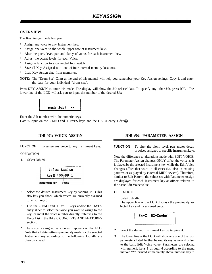#### <span id="page-33-0"></span>**OVERVIEW**

The Key Assign mode lets you:

- \* Assign any voice to any Instrument key.
- \* Assign one voice to the whole upper row of Instrument keys.
- \* Alter the pitch, level, pan and decay of voices for each Instrument key.
- Adjust the accent levels for each Voice.
- \* Assign a function to a connected foot switch.
- \* Save all Key Assign data to one of four internal memory locations.
- \* Load Key Assign data from memories.
- **NOTE:** The "Drum Set" Chart at the end of this manual will help you remember your Key Assign settings. Copy it and enter the data for your individual "drum sets".

Press KEY ASSIGN to enter this mode. The display will show the Job selected last. To specify any other Job, press JOB. The lower line of the LCD will ask you to input the number of the desired Job:

![](_page_33_Figure_12.jpeg)

Enter the Job number with the numeric keys.

Data is input via the - 1/NO and + 1/YES keys and the DATA entry slider  $\left( \widehat{\mathbf{q}} \right)$ .

FUNCTION To assign any voice to any Instrument keys.

#### OPERATION

1. Select Job #01.

![](_page_33_Figure_19.jpeg)

- 2. Select the desired Instrument key by tapping it. (This also lets you check which voices are currently assigned to which keys.)
- 3. Use the 1/NO and + 1/YES keys and/or the DATA entry slider to select the voice you want to assign to the key, or input the voice number directly, referring to the Voice List in the BASIC CONCEPTS AND FEATURES section.
- \* The voice is assigned as soon as it appears on the LCD. Note that all data settings previously made for the selected Instrument key according to the following Job #02 are thereby erased.

#### **JOB #01: VOICE ASSIGN JOB #02: PARAMETER ASSIGN**

FUNCTION To alter the pitch, level, pan and/or decay of voices assigned to specific Instrument keys.

Note the difference to alterations made with EDIT VOICE: The Parameter Assign changes ONLY affect the voice as it is played by the selected Instrument key, while the Edit Voice changes affect that voice in all cases (i.e. also in existing patterns or as played by external MIDI devices). Therefore, similar to Edit Pattern, the values set with Parameter Assign are displayed for each Instrument key as offsets relative to the basic Edit Voice value.

#### **OPERATION**

1. Select Job #02.

The upper line of the LCD displays the previously selected key and its assigned voice.

![](_page_33_Picture_29.jpeg)

- 2. Select the desired Instrument key by tapping it.
- 3. The lower line of the LCD will show any one of the four parameters listed further below, its key value and offset to the basic Edit Voice value. Parameters are selected with numeric keys 1 through 4 according to the menu marked "\*", printed immediately above numeric key 7.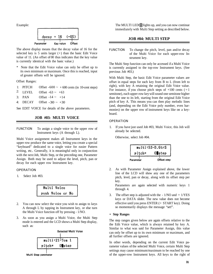![](_page_34_Figure_1.jpeg)

The above display means that the decay value of 16 for the selected key is  $5$  units larger  $(+)$  than the basic Edit Voice value of 11. (An offset of 00 thus indicates that the key value is currently identical with the basic value.)

Note that the Edit Voice value can only be offset up to its own minimum or maximum. Once this is reached, input of greater offsets will be ignored.

Offset Ranges:

- 1: PITCH Offset  $-600 \sim +600$  cents (in 10-cent steps)
- 2: LEVEL Offset  $-63 \sim +63$
- 3: PAN Offset  $-14 \sim +14$
- 4: DECAY Offset  $-30 \sim +30$

See EDIT VOICE for details of the above parameters.

#### **JOB #03: MULTI VOICE**

FUNCTION To assign a single voice to the upper row of Instrument keys (A through L).

Multi Voice assignment makes all Instrument keys in the upper row produce the same voice, letting you create a special "keyboard" dedicated to a single voice for easier Pattern writing, etc.. Generally, it is meaningful only in conjunction with the next Job, Multi Step, or the preceding one, Parameter Assign. Both may be used to adjust the level, pitch, pan or decay for each upper row Instrument key.

#### OPERATION

1. Select Job #03.

![](_page_34_Picture_15.jpeg)

- 2. You can now select the voice you wish to assign to keys A through L by tapping its Instrument key, or else turn the Multi Voice function off by pressing - 1/NO.
- 3. As soon as you assign a Multi Voice, the Multi Step mode is entered and the LCD shows a Multi Step display, such as:

![](_page_34_Figure_18.jpeg)

Multi Step parameter

<span id="page-34-0"></span>Example: The MULTI LED ights up, and you can now continue immediately with Multi Step setting as described below.

#### **JOB #04: MULTI STEP**

FUNCTION To change the pitch, level, pan and/or decay of the Multi Voice for each upper-row Instrument key.

The Multi Step function can only be accessed if a Multi Voice is currently assigned to the top-row Instrument keys. (See previous Job #03.)

With Multi Step, the basic Edit Voice parameter values are offset in equal steps for each key from B to L (from left to right), with key A retaining the original Edit Voice value. For instance, if you choose pitch steps of  $+100$  cents ( $=1$ ) semitone), each upper-row key will sound one semitone higher than the one to its left, starting from the original Edit Voice pitch of key A. This means you can then play melodic lines (and, depending on the Edit Voice poly number, even harmonies) on the upper row of instrument keys like on a keyboard.

#### **OPERATION**

1. If you have just used Job #03, Multi Voice, this Job will already be selected.

Otherwise, select Job #04.

|           | multi:53-D.GtrS |
|-----------|-----------------|
| pitch=    | $0$ step        |
| Parameter | Offset step     |

2. As with Parameter Assign explained above, the lower line of the LCD will show any one of the parameters pitch, level, pan or decay, along with its offset step per key.

Parameters are again selected with numeric keys 1 through 4.

3. The offset step is adjusted with the  $-1/NO$  and  $+1/YES$ keys or DATA slider. The new value does not become effective until you press ENTER  $(= START \ key)$ . Doing so momentarily displays the message "set!".

#### **• Step Ranges**

The step ranges given below are again offsets relative to the the Edit Voice value, which is always retained by key A. Similar to what was said for Parameter Assign, this value can only be offset up to its own minimum or maximum, and all further offsets are ignored.

In other words, depending on the current Edit Voice parameter values of the selected Multi Voice, certain Multi Step settings may cause minimum/maximum to be reached by one of the upper-row Instrument keys. All keys to the right of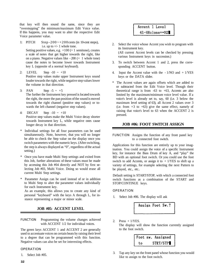<span id="page-35-0"></span>that key will then sound the same, since they are "overstepping" the minimum/maximum Edit Voice value. If this happens, you may want to alter the respective Edit Voice parameter value.

1: PITCH Step -  $200 \sim +200$  cents (in 10-cent steps), i.e. up to +/- 1 whole tone.

Setting positive values, e.g.  $+100 (= 1$  semitone), creates a scale of notes that get higher towards the right, like on a piano. Negative values like  $-200 (= 1$  whole tone) cause the notes to become lower towards Instrument key L (opposite of a normal keyboard).

- 2: LEVEL Step  $-10 \sim +10$ Positive step values make upper Instrument keys sound louder towards the right, while negative step values lower the volume in that direction.
- 3: PAN Step  $-5 \sim +5$ The further the Instrument key pressed is located towards the right, the more the pan position of the sound is moved towards the right channel (positive step values) or towards the left channel (negative step values).
- 4: DECAY Step  $-10 \sim +10$ Positive step values make the Multi Voice decay shorter towards Instrument key L, while negative ones cause longer decay in that direction.
- Individual settings for all four parameters can be used simultaneously. Note, however, that you will no longer be able to check the Step value on the display once you switch parameters with the numeric keys. (After switching, the step is always displayed as "0", regardless of the actual setting.)
- \* Once you have made Multi Step settings and exited from this Job, further alterations of these values must be made by accessing this Job #04 directly and NOT by first selecting Job #03, Multi Voice. Doing so would erase all current Multi Step settings.
- Parameter Assign can be used instead of or in addition to Multi Step to alter the parameter values individually for each Instrument key.

As an example, this allows you to create any kind of personal "keyboard" with the keys A through L, for instance representing a major or minor scale.

#### **JOB #05: ACCENT LEVEL**

FUNCTION Programming the volume changes achieved with ACCENT  $1/2$  for individual voices.

The green keys ACCENT 1 and ACCENT 2 are generally used to accentuate voices on certain beats by raising their level to a degree that can be programmed with this function. Negative values can also be set for interesting effects.

#### **OPERATION**

1. Select Job #05.

## Accent 1 Level 41-HHclose=+02

- 2. Select the voice whose Accent you wish to program with its Instrument key. (All current Accent levels can be checked by pressing various Instrument keys in succession.)
- 3. To switch between Accent 1 and 2, press the corresponding ACCENT button.
- 4. Input the Accent value with the 1/NO and + 1/YES keys or the DATA slider.
- \* The Accent values are again offsets which are added to or subtracted from the Edit Voice level. Though their theoretical range is from  $-63$  to  $+63$ , Accents are also limited by the maximum/minimum voice level value. If a voice's level is already set to, say, 60 (i.e. 3 below the maximum level setting of 63), all Accent 2 values over 3 (i.e. from  $+3$  to  $+63$ ) give the same effect, namely of raising that voice's level to 63 when the ACCENT 2 is pressed.

#### **JOB #06: FOOT SWITCH ASSIGN**

FUNCTION Assigns the function of any front panel key to a connected foot switch.

Applications for this function are entirely up to your imagination. You could assign the voice of a specific Instrument key, for instance the Bass Drum of key A, and "play" the BD with an optional foot switch. Or you could use the foot switch to add Accents, or assign it to  $+1$ /YES to shift up a variety of settings, for example selecting the next Pattern to be played, etc., etc..

Default setting is START/STOP, with which a connected foot switch functions as a combination of the START and STOP/CONTINUE keys.

#### OPERATION

1. Select Job #06. The display will ask

to the foot switch.

![](_page_35_Picture_26.jpeg)

2. Press  $+1/YES$ . The display will show the function currently assigned

> Foot sw. Assigned STRT/STP to

3. Tap any key on the front panel whose function you would like to assign to the foot switch.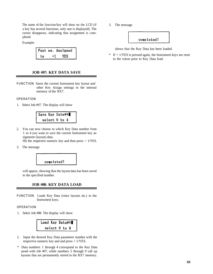<span id="page-36-0"></span>The name of the function/key will show on the LCD (if a key has several functions, only one is displayed). The cursor disappears, indicating that assignment is completed.

Example:

|    | Foot sw. Assigned |
|----|-------------------|
| t٥ | YES               |

#### **JOB #07: KEY DATA SAVE**

FUNCTION Saves the current Instrument key layout and other Key Assign settings to the internal memory of the RX7.

#### OPERATION

1. Select Job #07. The display will show

![](_page_36_Figure_7.jpeg)

2. You can now choose to which Key Data number from 1 to 4 you want to save the current Instrument key assignment (layout) data.

Hit the respective numeric key and then press  $+1/YES$ .

3. The message

![](_page_36_Figure_11.jpeg)

will appear, showing that the layout data has been saved to the specified number.

#### **JOB #08: KEY DATA LOAD**

FUNCTION Loads Key Data (voice layouts etc.) to the Instrument keys.

#### OPERATION

1. Select Job #08. The display will show

| Load Key Data#* |               |  |  |
|-----------------|---------------|--|--|
|                 | select 0 to 9 |  |  |

- 2. Input the desired Key Data parameter number with the respective numeric key and and press + 1/YES.
- \* Data numbers 1 through 4 correspond to the Key Data saved with Job #07, while numbers 5 through 9 call up layouts that are permanently stored in the RX7 memory.

3. The message

![](_page_36_Picture_21.jpeg)

shows that the Key Data has been loaded.

 $*$  If  $+$  1/YES is pressed again, the Instrument keys are reset to the voices prior to Key Data load.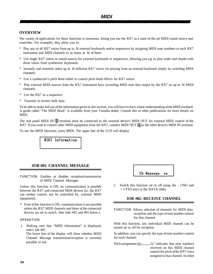#### <span id="page-37-0"></span>**OVERVIEW**

The variety of applications for these functions is enormous, letting you use the RX7 as a state-of-the-art MIDI sound source and controller. For examples, they allow you to:

- \* Play any or all RX7 voices from up to 16 external keyboards and/or sequencers by assigning MIDI note numbers to each RX7 instrument and MIDI channels to as many as 16 of them.
- \* Use single RX7 voices as sound sources for external keyboards or sequencers, allowing you e.g. to play scales and chords with these voices from synthesizer keyboards.
- \* Instantly and remotely select up to 16 different RX7 voices for playing from an external keyboard simply by switching MIDI channels.
- \* Use a synthesizer's pitch bend wheel to control pitch bend effects for RX7 voices.
- \* Play external MIDI sources from the RX7 Instrument keys according MIDI note data output by the RX7 on up to 16 MIDI channels.
- \* Use the RX7 as a sequencer.
- \* Transmit or receive bulk data.

To be able to make full use of the information given in this section, you will have to have a basic understanding of the MIDI standard. A guide called "The MIDI Book" is available from your Yamaha dealer. Consult this or other publications for more details on MIDI.

The rear panel MIDI IN  $\circledS$  terminal must be connected to the external device's MIDI OUT for external MIDI control of the RX7. If you want to control other MIDI equipment from the RX7, connect MIDI OUT  $\ddot{A}$  to the other device's MIDI IN terminal.

To use the MIDI functions, press MIDI. The upper line of the LCD will display

MIDI Information

#### **JOB #01: CHANNEL MESSAGE**

FUNCTION Enables or disables reception/transmission of MIDI Channel Messages.

Unless this function is ON, no communication is possible between the RX7 and connected MIDI devices (i.e. the RX7 can neither control, nor be controlled by, external MIDI equipment).

\* Even if this function is ON, communication is not possible unless the RX7 MIDI channels and those of the connected devices are set to match. (See Jobs #02 and #03 below.)

#### OPERATION

1. Making sure that "MIDI Information" is displayed, select Job #01.

The lower line of the display will show whether MIDI Channel Message transmission/reception is currently possible or not.

![](_page_37_Picture_21.jpeg)

2. Switch this function on or off using the - 1/NO and + 1/YES keys or the DATA slider.

#### **JOB #02: RECEIVE CHANNEL**

FUNCTION Allows selection of channels for MIDI data reception and the type of note number control for that channel.

With this function, any individual MIDI channel can be turned on or off for reception.

In addition, you can specify the type of note number control for each channel:

Pitch assignment (p).......... "p" indicates that note numbers received on this MIDI channel control the pitch of the RX7 voice assigned to that channel. In other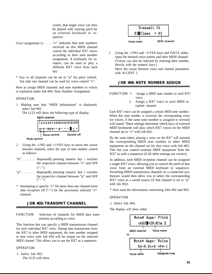words, that single voice can then be played with varying pitch by an external keyboard or sequencer.

- <span id="page-38-0"></span>Voice assignment (v) . . . . . . . . ."v" indicates that note numbers received on this MIDI channel control the individual RX7 voices according to their note number assignment. A keyboard, for instance, can be used to play a different RX7 voice from each key.
- \* Any or all channels can be set to "p" for pitch control, but only one channel can be used for voice control "v".

How to assign MIDI channels and note numbers to voices is explained under Job #04, Note Number Assignment.

#### OPERATION

1. Making sure that "MIDI Information" is displayed, select Job #02.

The LCD will show the following type of display:

![](_page_38_Figure_7.jpeg)

Pitch contro

- 2. Using the -1/NO and +1/YES keys to move the cursor between channels, select the type of note number control as follows:
- "v" .............. Repeatedly pressing numeric key 1 switches the respective channel between "v" and OFF  $(^{44}$ .").
- "p". . . . . . . . . . . . . . Repeatedly pressing numeric key 2 switches the respective channel between "p" and OFF  $(^{6}-")$ .
- \* Attempting to specify "v" for more than one channel turns data reception off ("-") for the previously selected "v" channel.

#### **JOB #03: TRANSMIT CHANNEL**

FUNCTION Selection of channels for MIDI data transmission according to voice.

This function lets you specify a MIDI transmission channel for each individual RX7 voice. During data transmission from the RX7 to other MIDI equipment, the note number assigned to that voice with Job #04 will be output on the selected MIDI channel. This allows you to use the RX7 as a sequencer.

OPERATION

1. Select Job #03. The LCD will show

![](_page_38_Figure_18.jpeg)

2. Using the -1/NO and +1/YES keys and DATA slider. input the desired voice names and their MIDI channel. (Voices can also be selected by entering their number directly with the numeric keys.) Move the cursor between voice and channel parameters with ACCENT 2.

#### **JOB #04: NOTE NUMBER ASSIGN**

FUNCTION 1. Assign a MIDI note number to each RX7 voice.

2. Assign a RX7 voice to each MIDI reception channel.

Each RX7 voice can be assigned a certain MIDI note number. When this note number is received, the corresponding voice (or voices, if the same note number is assigned to several) will sound. These settings determine which keys of external MIDI keyboards will play which RX7 voices on the MIDI channel set to "v" with Job #02.

By the same token, playing a voice on the RX7 will transmit the corresponding MIDI note number to other MIDI equipment on the channel set for that voice with Job #03. This lets you control external MIDI equipment from the RX7 as with a sequencer (if all other settings are correct).

In addition, each MIDI reception channel can be assigned a single RX7 voice, allowing you to control the pitch of that voice from an external MIDI keyboard or sequencer. Switching MIDI transmission channels on a connected synthesizer would then allow you to select the corresponding RX7 voice as a sound source (if that channel is set to "p" with Job #02).

\* Also read the information concerning Jobs #02 and #03.

#### **OPERATION**

1. Select Job #04.

The display will show either

![](_page_38_Figure_30.jpeg)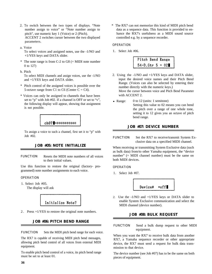- <span id="page-39-0"></span>2. To switch between the two types of displays. "Note number assign to voice" or "Note number assign to pitch", use numeric key 1 (Voice) or 2 (Pitch). ACCENT 2 switches cursor between the two displayed parameters.
- a. Voice

To select voices and assigned notes, use the -1/NO and +1/YES keys and DATA slider.

- $*$  The note range is from C-2 to G8 (= MIDI note number 0 to 127)
- b. Pitch

To select MIDI channels and assign voices, use the -1/NO and +1/YES keys and DATA slider.

- \* Pitch control of the assigned voices is possible over the 5-octave range from C1 to C6 (Center  $C = C4$ ).
- \* Voices can only be assigned to channels that have been set to "p" with Job #02. If a channel is OFF or set to "v", the following display will appear, showing that assignment is not possible.

![](_page_39_Figure_8.jpeg)

To assign a voice to such a channel, first set it to "p" with Job #02.

#### **JOB #05: NOTE INITIALIZE**

FUNCTION Resets the MIDI note numbers of all voices to their initial values.

Use this function to restore the original (factory- programmed) note number assignments to each voice.

#### **OPERATION**

1. Select Job #05. The display will ask

Initialize Note?

2. Press +1/YES to restore the original note numbers.

#### **JOB #06: PITCH BEND RANGE**

FUNCTION Sets the MIDI pitch bend range for each voice.

The RX7 is capable of receiving MIDI pitch bend messages, allowing pitch bend control of all voices from external MIDI equipment.

To enable pitch bend control of a voice, its pitch bend range must be set to at least 01.

\* The RX7 can not memorize this kind of MIDI pitch bend data as a sequence data. This function is provided to enhance the RX7's usefulness as a MIDI sound source controlled e.g. by a sequence recorder.

#### OPERATION

1. Select Job #06.

| Pitch Bend Range  |  |
|-------------------|--|
| $54-D.Gtr 5 = 02$ |  |

- 2. Using the -1/NO and +1/YES keys and DATA slider, input the desired voice names and their Pitch Bend Range. (Voices can also be selected by entering their number directly with the numeric keys.) Move the cursor between voice and Pitch Bend Parameter with ACCENT 2.
- Range:  $0$  to 12 (units: 1 semitone) Setting this value to 02 means you can bend the pitch over a range of one whole tone, setting it to 12 gives you an octave of pitch bend range.

#### **JOB #07: DEVICE NUMBER**

FUNCTION Set the RX7 to receive/transmit System Exclusive data on a specified MIDI channel.

When receiving or transmitting System Exclusive data (such as bulk data) from/to other Yamaha equipment, the "device number" (= MIDI channel number) must be the same on both MIDI devices.

OPERATION

1. Select Job #07.

Device#  $=$ off

2. Use the -1/NO and +1/YES keys or DATA slider to enable System Exclusive communication and select the MIDI channel (device number).

#### **JOB #08: BULK REQUEST**

FUNCTION Send a bulk dump request to other MIDI equipment.

When you want the RX7 to receive bulk data from another RX7, a Yamaha sequence recorder or other appropriate device, the RX7 must send a request for bulk data transmission to that device.

The device number (see Job #07) has to be the same on both pieces of equipment.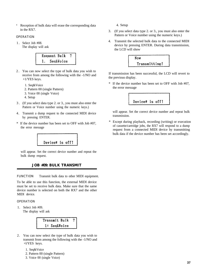\* Reception of bulk data will erase the corresponding data in the RX7.

#### **OPERATION**

1. Select Job #08. The display will ask

![](_page_40_Figure_3.jpeg)

- 2 . You can now select the type of bulk data you wish to receive from among the following with the -1/NO and +1/YES keys.
	- 1. Seq&Voice
	- 2. Pattern 00 (single Pattern)
	- 3. Voice 00 (single Voice)
	- 4. Setup
- 3 . (If you select data type 2. or 3., you must also enter the Pattern or Voice number using the numeric keys.)
- 4. Transmit a dump request to the connected MIDI device by pressing ENTER.
- \* If the device number has been set to OFF with Job #07, the error message

![](_page_40_Picture_12.jpeg)

will appear. Set the correct device number and repeat the bulk dump request.

#### **JOB #09: BULK TRANSMIT**

FUNCTION Transmit bulk data to other MIDI equipment.

To be able to use this function, the external MIDI device must be set to receive bulk data. Make sure that the same device number is selected on both the RX7 and the other MIDI device.

OPERATION

1. Select Job #09. The display will ask

|              | Transmit Bulk |  |
|--------------|---------------|--|
| 1: Seq&Voice |               |  |

- 2. You can now select the type of bulk data you wish to transmit from among the following with the -1/NO and +l/YES keys.
	- 1. Seq&Voice
	- 2. Pattern 00 (single Pattern)
	- 3. Voice 00 (single Voice)

4. Setup

- 3. (If you select data type 2. or 3., you must also enter the Pattern or Voice number using the numeric keys.)
- 4. Transmit the selected bulk data to the connected MIDI device by pressing ENTER. During data transmission, the LCD will show

![](_page_40_Figure_27.jpeg)

If transmission has been successful, the LCD will revert to the previous display.

\* If the device number has been set to OFF with Job #07, the error message

![](_page_40_Picture_30.jpeg)

will appear. Set the correct device number and repeat bulk transmission.

Except during playback, recording (writing) or execution of cassette/cartridge jobs, the RX7 will respond to a dump request from a connected MIDI device by transmitting bulk data if the device number has been set accordingly.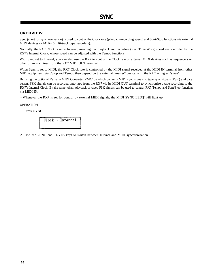#### <span id="page-41-0"></span>**OVERVIEW**

Sync (short for synchronization) is used to control the Clock rate (playback/recording speed) and Start/Stop functions via external MIDI devices or MTRs (multi-track tape recorders).

Normally, the RX7 Clock is set to Internal, meaning that playback and recording (Real Time Write) speed are controlled by the RX7's Internal Clock, whose speed can be adjusted with the Tempo functions.

With Sync set to Internal, you can also use the RX7 to control the Clock rate of external MIDI devices such as sequencers or other drum machines from the RX7 MIDI OUT terminal.

When Sync is set to MIDI, the RX7 Clock rate is controlled by the MIDI signal received at the MIDI IN terminal from other MIDI equipment. Start/Stop and Tempo then depend on the external "master" device, with the RX7 acting as "slave".

By using the optional Yamaha MIDI Converter YMC10 (which converts MIDI sync signals to tape sync signals (FSK) and vice versa), FSK signals can be recorded onto tape from the RX7 via its MIDI OUT terminal to synchronize a tape recording to the RX7's Internal Clock. By the same token, playback of taped FSK signals can be used to control RX7 Tempo and Start/Stop functions via MIDI IN.

\* Whenever the RX7 is set for control by external MIDI signals, the MIDI SYNC LED $\hat{Z}$  will light up.

#### OPERATION

1. Press SYNC.

Clock : Internal

2. Use the -1/NO and +1/YES keys to switch between Internal and MIDI synchronization.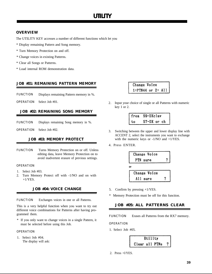#### <span id="page-42-0"></span>**OVERVIEW**

The UTILITY KEY accesses a number of different functions which let you

- \* Display remaining Pattern and Song memory.
- \* Turn Memory Protection on and off.
- \* Change voices in existing Patterns.
- \* Clear all Songs or Patterns.
- \* Load internal ROM demonstration data.

#### **JOB #01: REMAINING PATTERN MEMORY**

- FUNCTION Displays remaining Pattern memory in %.
- OPERATION Select Job #01.

#### **JOB #02: REMAINING SONG MEMORY**

- FUNCTION Displays remaining Song memory in %.
- OPERATION Select Job #02.

#### **JOB #03: MEMORY PROTECT**

FUNCTION Turns Memory Protection on or off. Unless editing data, leave Memory Protection on to avoid inadvertent erasure of previous settings.

#### OPERATION

- 1. Select Job #03.
- 2. Turn Memory Protect off with -1/NO and on with  $+1/YES$ .

#### **JOB #04: VOICE CHANGE**

FUNCTION Exchanges voices in one or all Patterns.

This is a very helpful function when you want to try out different voice combinations for Patterns after having programmed them.

\* If you only want to change voices in a single Pattern, it must be selected before using this Job.

#### **OPERATION**

1. Select Job #04. The display will ask:

## Change Voice  $1:PTN44$  or  $2: All$

2. Input your choice of single or all Patterns with numeric key 1 or 2.

|            | from 59-DXclav |
|------------|----------------|
| $\vert$ to | 57-DX or ch    |

- 3. Switching between the upper and lower display line with ACCENT 2, select the instruments you want to exchange with the numeric keys or  $-1/NO$  and  $+1/YES$ .
- 4. Press ENTER.

![](_page_42_Figure_30.jpeg)

- 5. Confirm by pressing +1/YES.
- \* Memory Protection must be off for this function.

#### **JOB #05: ALL PATTERNS CLEAR**

FUNCTION Erases all Patterns from the RX7 memory.

OPERATION

1. Select Job #05.

![](_page_42_Picture_37.jpeg)

2. Press +l/YES.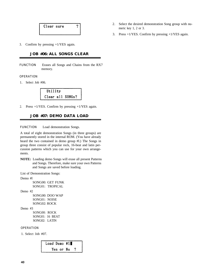<span id="page-43-0"></span>![](_page_43_Figure_0.jpeg)

3. Confirm by pressing +1/YES again.

#### **JOB #06: ALL SONGS CLEAR**

FUNCTION Erases all Songs and Chains from the RX7 memory.

#### OPERATION

1. Select Job #06.

![](_page_43_Picture_6.jpeg)

2. Press  $+1/YES$ . Confirm by pressing  $+1/YES$  again.

#### **JOB #07: DEMO DATA LOAD**

FUNCTION Load demonstration Songs.

A total of eight demonstration Songs (in three groups) are permanently stored in the internal ROM. (You have already heard the two contained in demo group #l.) The Songs in group three consist of popular rock, 16-beat and latin percussion patterns which you can use for your own arrangements.

**NOTE:** Loading demo Songs will erase all present Patterns and Songs. Therefore, make sure your own Patterns and Songs are saved before loading.

List of Demonstration Songs:

Demo #l SONG00: GET FUNK SONG01: TROPICAL

Demo #2

SONG00: DOO WAP SONG01: NOISE SONG02: ROCK

#### Demo #3

SONG00: ROCK SONG01: 16 BEAT SONG02: LATIN

OPERATION

1. Select Job #07.

| Load Demo #1∎ |  |              |  |
|---------------|--|--------------|--|
|               |  | Yes or No. ? |  |

- 2. Select the desired demonstration Song group with numeric key 1, 2 or 3.
- 3. Press +1/YES. Confirm by pressing +1/YES again.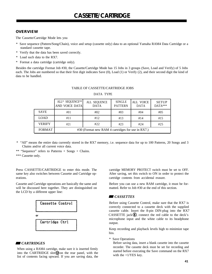#### <span id="page-44-0"></span>**OVERVIEW**

The Cassette/Cartridge Mode lets you

- \* Save sequence (Pattern/Song/Chain), voice and setup (cassette only) data to an optional Yamaha RAM4 Data Cartridge or a standard cassette tape.
- \* Verify that the data has been saved correctly.
- \* Load such data to the RX7.
- \* Format a data cartridge (cartridge only).

Besides the cartridge Format Job #30, the Cassette/Cartridge Mode has 15 Jobs in 3 groups (Save, Load and Verify) of 5 Jobs each. The Jobs are numbered so that their first digit indicates Save (0), Load (1) or Verify (2), and their second digit the kind of data to be handled.

|               | ALL* SEQUENCE**<br>AND VOICE DATA                 | ALL SEQUENCE<br><b>DATA</b> | <b>SINGLE</b><br><b>PATTERN</b> | <b>ALL VOICE</b><br><b>DATA</b> | <b>SETUP</b><br>$DATA***$ |  |  |  |  |  |  |
|---------------|---------------------------------------------------|-----------------------------|---------------------------------|---------------------------------|---------------------------|--|--|--|--|--|--|
| <b>SAVE</b>   | #01                                               | #02                         | #03                             | #04                             | #05                       |  |  |  |  |  |  |
| <b>LOAD</b>   | #11                                               | #12                         | #13                             | #14                             | #15                       |  |  |  |  |  |  |
| <b>VERIFY</b> | #21                                               | #22                         | #23                             | #24                             | #25                       |  |  |  |  |  |  |
| <b>FORMAT</b> | #30 (Format new RAM 4 cartridges for use in RX7.) |                             |                                 |                                 |                           |  |  |  |  |  |  |

#### TABLE OF CASSETTE/CARTRIDGE JOBS DATA TYPE

- \* "All" means the entire data currently stored in the RX7 memory, i.e. sequence data for up to 100 Patterns, 20 Songs and 3 Chains and/or all current voice data.
- \*\* "Sequence" refers to Patterns + Songs + Chains.

\*\*\* Cassette only.

Press CASSETTE/CARTRIDGE to enter this mode. The same key also switches between Cassette and Cartridge operations.

Cassette and Cartridge operations are basically the same and will be discussed here together. They are distinguished on the LCD by a different upper line:

|    | Cassette Control |
|----|------------------|
| o٢ |                  |
|    | Cartridge Ctrl   |
|    |                  |

#### *CARTRIDGES*

When using a RAM4 cartridge, make sure it is inserted firmly into the CARTRIDGE slot $(\Omega)$  on the rear panel, with the list of contents facing upward. If you are saving data, the cartridge MEMORY PROTECT switch must be set to OFF. After saving, set this switch to ON in order to protect the cartridge contents from accidental erasure.

Before you can use a new RAM cartridge, it must be formatted. Refer to Job #30 at the end of this section.

#### *CASSETTES*

Before using Cassette Control, make sure that the RX7 is correctly connected to a cassette deck with the supplied cassette cable. Insert the 8-pin DIN-plug into the RX7 CASSETTE jack  $\circled{6}$ , connect the red cable to the deck's microphone input and the white cable to its headphone output.

Keep recording and playback levels high to minimize tape hiss.

\* Save Operations

Before saving data, insert a blank cassette into the cassette recorder. The cassette deck must be set for recording and started before executing the Save command on the RX7 with the  $+1/YES$  key.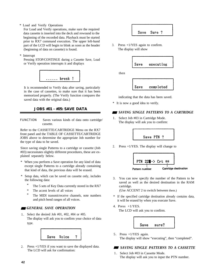<span id="page-45-0"></span>\* Load and Verify Operations

For Load and Verify operations, make sure the required data cassette is inserted into the deck and rewound to the beginning of the recorded data. Playback must be started prior to RX7 command execution. The upper left-hand part of the LCD will begin to blink as soon as the header (beginning of data on cassette) is found.

\* Interrupt

Pressing STOP/CONTINUE during a Cassette Save, Load or Verify operation interrupts it and displays

![](_page_45_Picture_4.jpeg)

It is recommended to Verify data after saving, particularly in the case of cassettes, to make sure that it has been memorized properly. (The Verify function compares the saved data with the original data.)

## **JOBS #01 - #05: SAVE DATA**

FUNCTION Saves various kinds of data onto cartridge/ cassette.

Refer to the CASSETTE/CARTRIDGE Menu on the RX7 front panel and the TABLE OF CASSETTE/CARTRIDGE JOBS above to determine the appropriate Job number for the type of data to be saved.

Since saving single Patterns to a cartridge or cassette (Job #03) necessitates slightly different procedures, these are explained separately below.

- \* When you perform a Save operation for any kind of data except single Patterns to a cartridge already containing that kind of data, the previous data will be erased.
- \* Setup data, which can be saved on cassette only, includes the following data:
	- The 5 sets of Key Data currently stored in the RX7
	- \* The accent levels of all voices
	- The MIDI transmit/receive channels, note numbers and pitch bend ranges of all voices.

#### *GENERAL SAVE OPERATION*

1. Select the desired Job #01, #02, #04 or #05. The display will ask you to confirm your choice of data type.

![](_page_45_Picture_17.jpeg)

2. Press +1/YES if you want to save the displayed data. The LCD will ask for confirmation:

![](_page_45_Picture_19.jpeg)

3. Press +1/YES again to confirm. The display will show

![](_page_45_Picture_21.jpeg)

then

![](_page_45_Figure_23.jpeg)

indicating that the data has been saved.

\* It is now a good idea to verify.

#### *SAVING SINGLE PATTERNS TO A CARTRIDGE*

1. Select Job #03 in Cartridge Mode. The display will ask you to confirm:

Save PTN ?

2. Press +1/YES. The display will change to

![](_page_45_Figure_30.jpeg)

3. You can now specify the number of the Pattern to be saved as well as the desired destination in the RAM cartridge.

(Use ACCENT 2 to switch between them.)

- \* If the specified cartridge destination already contains data, it will be erased by when you execute Save.
- 4. Press +1/YES. The LCD will ask you to confirm.

![](_page_45_Picture_35.jpeg)

5. Press +1/YES again. The display will show "executing", then "completed".

#### *SAVING SINGLE PATTERNS TO A CASSETTE*

1 . Select Job #03 in Cassette Mode. The display will ask you to input the PTN number.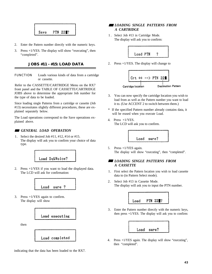<span id="page-46-0"></span>![](_page_46_Picture_0.jpeg)

- 2. Enter the Pattern number directly with the numeric keys.
- 3. Press +1/YES. The display will show "executing", then "completed".

#### **JOBS #11 - #15: LOAD DATA**

FUNCTION Loads various kinds of data from a cartridge or cassette.

Refer to the CASSETTE/CARTRIDGE Menu on the RX7 front panel and the TABLE OF CASSETTE/CARTRIDGE JOBS above to determine the appropriate Job number for the type of data to be loaded.

Since loading single Patterns from a cartridge or cassette (Job #13) necessitates slightly different procedures, these are explained separately below.

The Load operations correspond to the Save operations explained above.

#### *GENERAL LOAD OPERATION*

1. Select the desired Job #11, #12, #14 or #15. The display will ask you to confirm your choice of data type.

![](_page_46_Figure_10.jpeg)

2. Press +1/YES if you want to load the displayed data. The LCD will ask for confirmation:

![](_page_46_Picture_12.jpeg)

3. Press +1/YES again to confirm. The display will show

![](_page_46_Picture_14.jpeg)

then

![](_page_46_Picture_16.jpeg)

indicating that the data has been loaded to the RX7.

#### *LOADING SINGLE PATTERNS FROM A CARTRIDGE*

1 . Select Job #13 in Cartridge Mode. The display will ask you to confirm:

![](_page_46_Figure_20.jpeg)

2. Press  $+1/YES$ . The display will change to

![](_page_46_Figure_22.jpeg)

- 3. You can now specify the cartridge location you wish to load from as well as the Pattern number you want to load it to. (Use ACCENT 2 to switch between them.)
- \* If the specified Pattern number already contains data, it will be erased when you execute Load.
- 4. Press +1/YES. The LCD will ask you to confirm.

![](_page_46_Picture_26.jpeg)

5. Press +1/YES again. The display will show "executing", then "completed".

#### *LOADING SINGLE PATTERNS FROM A CASSETTE*

- 1. First select the Pattern location you wish to load cassette data to (in Pattern Select mode).
- 2. Select Job #13 in Cassette Mode. The display will ask you to input the PTN number.

![](_page_46_Picture_31.jpeg)

3. Enter the Pattern number directly with the numeric keys, then press  $+1/YES$ . The display will ask you to confirm:

![](_page_46_Picture_33.jpeg)

4. Press +1/YES again. The display will show "executing", then "completed".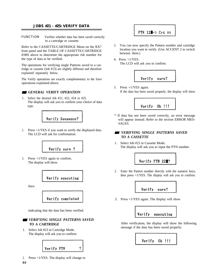#### <span id="page-47-0"></span>**JOBS #21 - #25: VERIFY DATA**

FUNCTION Verifies whether data has been saved correctly to a cartridge or cassette.

Refer to the CASSETTE/CARTRIDGE Menu on the RX7 front panel and the TABLE OF CASSETTE/CARTRIDGE JOBS above to determine the appropriate Job number for the type of data to be verified.

The operations for verifying single Patterns saved to a cartridge or cassette (Job #13) are slightly different and therefore explained separately below.

The Verify operations are exactly complementary to the Save operations explained above.

![](_page_47_Picture_5.jpeg)

1 . Select the desired Job #21, #22, #24 or #25. The display will ask you to confirm your choice of data type.

![](_page_47_Figure_7.jpeg)

2. Press +1/YES if you want to verify the displayed data. The LCD will ask for confirmation:

![](_page_47_Figure_9.jpeg)

3. Press +1/YES again to confirm. The display will show

![](_page_47_Picture_11.jpeg)

then

![](_page_47_Picture_13.jpeg)

indicating that the data has been verified.

#### *VERIFYING SINGLE PATTERNS SAVED TO A CARTRIDGE*

1. Select Job #23 in Cartridge Mode. The display will ask you to confirm:

![](_page_47_Figure_17.jpeg)

2. Press  $+1/YES$ . The display will change to

- 3. You can now specify the Pattern number and cartridge location you want to verify. (Use ACCENT 2 to switch between them.)
- 4. Press +1/YES. The LCD will ask you to confirm.

![](_page_47_Figure_22.jpeg)

5. Press +1/YES again. If the data has been saved properly, the display will show

![](_page_47_Picture_24.jpeg)

\* If data has not been saved correctly, an error message will appear instead. Refer to the section ERROR MES-SAGES.

#### *VERIFYING SINGLE PATTERNS SAVED TO A CASSETTE*

1. Select Job #23 in Cassette Mode. The display will ask you to input the PTN number.

![](_page_47_Picture_28.jpeg)

2. Enter the Pattern number directly with the numeric keys, then press  $+1$ /YES. The display will ask you to confirm:

![](_page_47_Picture_30.jpeg)

3. Press +1/YES again. The display will show

![](_page_47_Picture_32.jpeg)

After verification, the display will show the following message if the data has been saved properly:

![](_page_47_Picture_34.jpeg)

**44**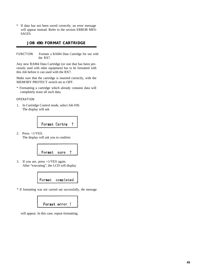<span id="page-48-0"></span>\* If data has not been saved correctly, an error message will appear instead. Refer to the section ERROR MES-SAGES.

#### **JOB #30: FORMAT CARTRIDGE**

FUNCTION Formats a RAM4 Data Cartridge for use with the RX7.

Any new RAM4 Data Cartridge (or one that has been previously used with other equipment) has to be formatted with this Job before it can used with the RX7.

Make sure that the cartridge is inserted correctly, with the MEMORY PROTECT switch set to OFF.

\* Formatting a cartridge which already contains data will completely erase all such data.

#### OPERATION

1. In Cartridge Control mode, select Job #30. The display will ask

![](_page_48_Picture_8.jpeg)

2. Press +1/YES. The display will ask you to confirm:

![](_page_48_Picture_10.jpeg)

3. If you are, press +1/YES again. After "executing", the LCD will display

![](_page_48_Picture_12.jpeg)

\* If formatting was not carried out successfully, the message

![](_page_48_Picture_14.jpeg)

will appear. In this case, repeat formatting.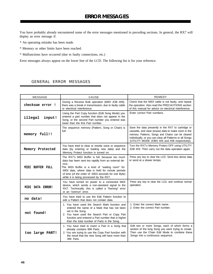<span id="page-49-0"></span>You have probably already encountered some of the error messages mentioned in preceding sections. In general, the RX7 will display an error message if:

- \* An operating mistake has been made.
- \* Memory or other limits have been reached.
- \* Malfunctions have occurred (due to faulty connections, etc.)

Error messages always appear on the lower line of the LCD. The following list is for your reference.

#### GENERAL ERROR MESSAGES

| <b>MESSAGE</b>    | CAUSE                                                                                                                                                                                                                                                                                                                     | <b>REMEDY</b>                                                                                                                                                                                                                                                                |
|-------------------|---------------------------------------------------------------------------------------------------------------------------------------------------------------------------------------------------------------------------------------------------------------------------------------------------------------------------|------------------------------------------------------------------------------------------------------------------------------------------------------------------------------------------------------------------------------------------------------------------------------|
| checksum error !  | During a Receive Bulk operation (MIDI JOB #09),<br>there was a break in transmission, due to faulty cable<br>or electrical interference.                                                                                                                                                                                  | Check that the MIDI cable is not faulty, and repeat<br>the operation. Also read the PRECAUTIONS section<br>of this manual for advice on electrical interference.                                                                                                             |
| illegal<br>input! | Using the Part Copy function (Edit Song Mode) you<br>entered a part number that does not appear in the<br>Song, or the second Part number you entered was<br>lower than the first Part number.                                                                                                                            | Enter correct Part numbers.                                                                                                                                                                                                                                                  |
| memory full!!     | The sequence memory (Pattern, Song or Chain) is<br>full.                                                                                                                                                                                                                                                                  | Save the data presently in the RX7 to cartridge or<br>cassette, and clear (erase) data to make room in the<br>memory. Patterns, Songs and Chains can be cleared<br>individually, or you can clear all Patterns or all Songs<br>(UTILITY MODE JOBS #05 and #06 respectively). |
| Memory Protected  | You have tried to clear or rewrite voice or sequence<br>data (by entering or loading new data) and the<br>Memory Protect function is turned on.                                                                                                                                                                           | Turn the RX7's Memory Protect OFF using UTILITY<br>JOB #03. Then carry out the data operation again.                                                                                                                                                                         |
| MIDI BUFFER FULL  | The RX7's MIDI Buffer is full, because too much<br>data has been sent too rapidly from an external de-<br>vice.<br>The MIDI Buffer is a kind of "waiting room" for<br>MIDI data, where data is held for minute periods<br>of time (of the order of .0003 seconds for one Byte)<br>while it is being processed by the RX7. | Press any key to clear the LCD. Send less dense data,<br>or send at a slower tempo.                                                                                                                                                                                          |
| MIDI DATA ERROR!  | You have turned on power to a connected MIDI<br>device, which sends a non-standard signal to the<br>RX7. Technically, this is called a "framing" error<br>or an "overrun" error.                                                                                                                                          | Press any key to clear the LCD, and continue normal<br>operation.                                                                                                                                                                                                            |
| no data!          | You have tried to use the Edit Pattern function to<br>edit a Pattern that does not contain data.                                                                                                                                                                                                                          |                                                                                                                                                                                                                                                                              |
| not found!        | 1. You have used the Search Mark function and<br>entered the name of a Mark that has not been<br>set in the Song.<br>2. You have used the Search Part or Copy Part<br>function and entered a Part number that is higher<br>than the total number of Parts in the Song.                                                    | 1. Enter the correct Mark name.<br>2. Enter the correct Part number.                                                                                                                                                                                                         |
| too large PART!   | 1. You have tried to insert a Part in a Song that<br>already contains 999 Parts.<br>2. You are trying to use the Copy Part function with<br>the result that the new Song will have more than<br>999 Parts.                                                                                                                | Edit two or more Songs, each of which forms a<br>section of the long Song you were trying to create.<br>Then use the Chain Edit Mode to combine these<br>Songs into a continuous sequence.                                                                                   |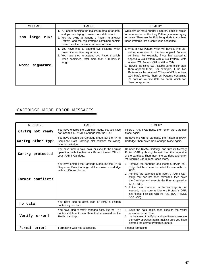| MESSAGE              | <b>CAUSE</b>                                                                                                                                                                                                                                       | REMEDY                                                                                                                                                                                                                                                                                                                                                                                                                                                                                                                              |  |  |  |  |  |  |  |
|----------------------|----------------------------------------------------------------------------------------------------------------------------------------------------------------------------------------------------------------------------------------------------|-------------------------------------------------------------------------------------------------------------------------------------------------------------------------------------------------------------------------------------------------------------------------------------------------------------------------------------------------------------------------------------------------------------------------------------------------------------------------------------------------------------------------------------|--|--|--|--|--|--|--|
| large<br>PTN!<br>too | 1. A Pattern contains the maximum amount of data.<br>and you are trying to write more data into it.<br>2. You are trying to append a Pattern to another<br>Pattern, and the two Patterns combined contain<br>more than the maximum amount of data. | Write two or more shorter Patterns, each of which<br>forms a section of the long Pattern you were trying<br>to create. Then use the Edit Song Mode to combine<br>these Patterns into a continuous sequence.                                                                                                                                                                                                                                                                                                                         |  |  |  |  |  |  |  |
| signature!<br>wrong  | 1. You have tried to append two Patterns which<br>have different time signatures.<br>2. You have tried to append two Patterns which,<br>when combined, total more than 100 bars in<br>length.                                                      | 1. Write a new Pattern which will have a time sig-<br>nature equivalent to the two original Patterns<br>combined. For example, if you had wanted to<br>append a 4/4 Pattern with a 3/4 Pattern, write<br>a new 7/4 Pattern $(3/4 + 4/4 = 7/4)$ .<br>2. Rewrite the same two Patterns using longer bars,<br>then append them. For example, if the two<br>Patterns each contained 52 bars of 4/4 time (total<br>104 bars), rewrite them as Patterns containing<br>26 bars of 8/4 time (total 52 bars), which can<br>then be appended. |  |  |  |  |  |  |  |

═

### CARTRIDGE MODE ERROR MESSAGES

| MESSAGE           | CAUSE                                                                                                                               | REMEDY                                                                                                                                                                                                                                                                                                                                                                                                                                           |
|-------------------|-------------------------------------------------------------------------------------------------------------------------------------|--------------------------------------------------------------------------------------------------------------------------------------------------------------------------------------------------------------------------------------------------------------------------------------------------------------------------------------------------------------------------------------------------------------------------------------------------|
| Cartrg not ready  | You have entered the Cartridge Mode, but you have<br>not inserted a RAM4 Cartridge into the RX7.                                    | Insert a RAM4 Cartridge, then enter the Cartridge<br>Mode again.                                                                                                                                                                                                                                                                                                                                                                                 |
| Cartrg other type | You have entered the Cartridge Mode, but the RX7's<br>Sequence Data Cartridge slot contains the wrong<br>type of cartridge.         | Remove the wrong cartridge, then insert a RAM4<br>Cartridge, then enter the Cartridge Mode again.                                                                                                                                                                                                                                                                                                                                                |
| Cartrg protected  | You have tried to save data, or execute the Format<br>operation, with the Memory Protect turned ON on<br>your RAM4 Cartridge.       | Remove the RAM4 Cartridge and turn its Memory<br>Protect OFF by flicking the switch on the underside<br>of the cartridge. Then insert the cartridge and enter<br>the required Job number once more.                                                                                                                                                                                                                                              |
| Format conflict!  | You have entered the Cartridge Mode, but the RX7's<br>Sequence Data Cartridge slot contains a cartridge<br>with a different format. | 1. Remove the cartridge and insert a RAM4 car-<br>tridge that has been formatted for use with the<br>RX7.<br>2. Remove the cartridge and insert a RAM4 Car-<br>tridge that has not been formatted, then enter<br>the Cartridge and execute the Format operation<br>(JOB #30).<br>3. If the data contained in the cartridge is not<br>needed, make sure its Memory Protect is OFF,<br>and format it for use with the RX7. (CARTRIDGE<br>JOB #30). |
| no data!          | You have tried to save, load or verify a Pattern<br>containing no data.                                                             |                                                                                                                                                                                                                                                                                                                                                                                                                                                  |
| Verify error!     | You have tried to verify cartridge data, but the RX7<br>contains different data than that contained in the<br>RAM4 cartridge.       | 1. Save the data again, then execute the Verify<br>operation once more.<br>2. In the case of verifying a single Pattern, execute<br>the verify operation again, making sure you have<br>entered the correct Pattern numbers.                                                                                                                                                                                                                     |
| Format error!     | Formatting was not successful.                                                                                                      | Repeat formatting                                                                                                                                                                                                                                                                                                                                                                                                                                |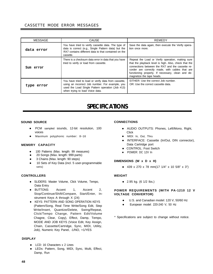#### <span id="page-51-0"></span>CASSETTE MODE ERROR MESSAGES

| <b>MESSAGE</b> | <b>CAUSE</b>                                                                                                                                                                                   | REMEDY                                                                                                                                                                                                                                                                                             |
|----------------|------------------------------------------------------------------------------------------------------------------------------------------------------------------------------------------------|----------------------------------------------------------------------------------------------------------------------------------------------------------------------------------------------------------------------------------------------------------------------------------------------------|
| data error     | You have tried to verify cassette data. The type of<br>data is correct (e.g., Single Pattern data) but the<br>RX7 contains different data to that contained on the<br>cassette.                | Save the data again, then execute the Verify opera-<br>tion once more.                                                                                                                                                                                                                             |
| Sum error      | There is a checksum data error in data that you have<br>tried to verify or load from cassette.                                                                                                 | Repeat the Load or Verify operation, making sure<br>that the playback level is high. Also, check that the<br>connections between the RX7 and the cassette re-<br>corder are correctly made, with cables that are<br>functioning properly. If necessary, clean and de-<br>magnetize the tape heads. |
| type<br>error  | You have tried to load or verify data from cassette,<br>using an incorrect Job number. For example, you<br>used the Load Single Pattern operation (Job #13)<br>when trying to load Voice data. | EITHER: Use the correct Job number.<br>OR: Use the correct cassette data.                                                                                                                                                                                                                          |

# *SPECIFICATIONS*

#### **SOUND SOURCE CONNECTIONS**

- PCM sampled sounds, 12-bit resolution, 100 voices
- $\bullet$  Maximum polyphonic number: 8~16

#### **MEM0RY CAPACITY**

- 100 Patterns (Max. length: 99 measures)
- 20 Songs (Max. length: 999 parts)
- 3 Chains (Max. length: 90 steps)
- 10 Sets of Key Data (incl. 5 user-programmable sets)

#### **CONTROLLERS**

- SLIDERS: Master Volume, Click Volume, Tempo, Data Entry
- BUTTONS: Accent 1, Accent 2, Stop/Continue/Shift/Compare, Start/Enter, Instrument Keys A through X (24)
- **KEYS: PATTERN AND SONG OPERATION KEYS** (Pattern/Song, Real Time Write/Song Edit, Step Write/Insert, Quantize/Delete, Swing/Repeat, Click/Tempo Change, Pattern Edit/Volume Chagne, Clear, Copy), Effect, Damp, Tempo, MODE AND JOB KEYS (Voice Edit, Key Assign, Chain, Cassette/Cartridge, Sync, MIDI, Utility, Job), Numeric Key Panel, -1/NO, +1/YES

#### **DISPLAY**

- LCD: 16 Characters x 2 Lines
- LEDs: Pattern, Song, MIDI, Sync, Multi, Effect, Damp, Run

- AUDIO OUTPUTS: Phones, Left/Mono, Right, Click
- $\bullet$  MIDI: In, Out, Thru
- INTERFACE: Cassette (In/Out, DIN connector), Data Cartridge port
- CONTROL: Foot Switch
- POWER: DC 12V In

#### **DIMENSIONS (W x D x H)**

• 439 x 270 x 78 mm(17 1/4" x 10 5/8" x 3")

#### **WEIGHT**

• 2.95 kg. (6 1/2 lbs.)

#### **POWER REQUIREMENTS (WITH PA-1210 12 V VOLTAGE CONVERTOR)**

- U.S. and Canadian model: 120 V, 50/60 Hz
- European model: 220-240 V, 50 Hz

\* Specifications are subject to change without notice.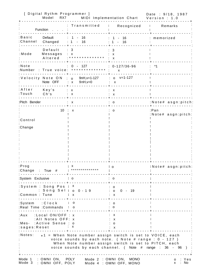<span id="page-52-0"></span>

|                           | [ Digital Rythm Programmer ]<br>Model<br>RX7                      |                                                                                                                                                                                                                                         | MIDI Implementation Chart                         | Date: 9/18, 1987<br>Version : 1.0 |
|---------------------------|-------------------------------------------------------------------|-----------------------------------------------------------------------------------------------------------------------------------------------------------------------------------------------------------------------------------------|---------------------------------------------------|-----------------------------------|
|                           | Function                                                          | Transmitted                                                                                                                                                                                                                             | Recognized                                        | Remarks<br>$\ddot{\cdot}$         |
| :Basic<br>:Channel        | Default<br>Changed                                                | $1 - 16$<br>$: 1 - 16$                                                                                                                                                                                                                  | $1 - 16$<br>$1 - 16$                              | : memorized                       |
| :Mode                     | Default<br>Messages<br>Altered                                    | : 3<br>: x<br>. * * * * * * * * * * * * * *                                                                                                                                                                                             | 3<br>$\mathsf{x}$<br>X                            |                                   |
| : Note                    |                                                                   | 127<br>0 -<br>:Number : True voice: **************                                                                                                                                                                                      | $0 - 127/36 - 96$<br>$\mathsf{x}$                 | $*1$                              |
|                           | Note OFF : x                                                      | :Velocity Note ON $\cdot$ 0 9nH, v=1-127<br>$9nH, v=0$                                                                                                                                                                                  | $: o$ v=1-127<br>X                                |                                   |
| : A f t e r<br>:Touch     | Key's<br>Ch's                                                     | : x<br>X                                                                                                                                                                                                                                | X<br>$\boldsymbol{\mathsf{x}}$                    |                                   |
| :Pitch Bender             |                                                                   | X                                                                                                                                                                                                                                       | $\sim$ 0                                          | :Note# asgn:pitch:                |
|                           | 10 <sup>°</sup>                                                   | $\sim 10$<br>X                                                                                                                                                                                                                          | o                                                 | $:$ Pan<br>:Note# asgn:pitch:     |
| :Control                  |                                                                   |                                                                                                                                                                                                                                         |                                                   |                                   |
| :Change                   |                                                                   |                                                                                                                                                                                                                                         |                                                   |                                   |
|                           |                                                                   |                                                                                                                                                                                                                                         |                                                   |                                   |
|                           |                                                                   |                                                                                                                                                                                                                                         |                                                   |                                   |
|                           |                                                                   |                                                                                                                                                                                                                                         |                                                   |                                   |
|                           |                                                                   |                                                                                                                                                                                                                                         |                                                   |                                   |
| :Prog<br>:Change : True # |                                                                   | : x<br>* * * * * * * * * * * * * *                                                                                                                                                                                                      | : o                                               | :Note# asgn:pitch:                |
| :System Exclusive         |                                                                   | : o                                                                                                                                                                                                                                     | $\therefore$ 0                                    |                                   |
| :Common : Tune            | :System : Song Pos : X<br>Song Sel: $o$ $0 - 19$                  | $\mathsf{X}$                                                                                                                                                                                                                            | 0<br>$\overline{O}$<br>$0 - 19$<br>$\mathbf{X}$ : |                                   |
| :System                   | $: C \cup C$<br>:Real Time : Commands                             | о<br>$\circ$                                                                                                                                                                                                                            | $\circ$<br>0                                      |                                   |
| :Aux<br>:sages:Reset      | :Local ON/OFF : x<br>:All Notes OFF: x<br>:Mes- :Active Sense : o | x                                                                                                                                                                                                                                       | х<br>x<br>O<br>х                                  |                                   |
| :Notes:                   |                                                                   | *1 = When Note number assign switch is set to VOICE, each<br>voice sounds by each note. ( Note $\#$ range : 0 - 127 )<br>When Note number assign switch is set to PITCH, each<br>voice sounds by each channel. ( Note # range : 36 - 96 |                                                   |                                   |
| Mode 1<br>Mode 3          | : OMNI ON,<br>OMNI OFF, POLY                                      | POLY                                                                                                                                                                                                                                    | Mode 2 : OMNI ON, MONO<br>Mode 4 : OMNI OFF, MONO | Yes<br>0<br>No<br><b>X</b><br>÷   |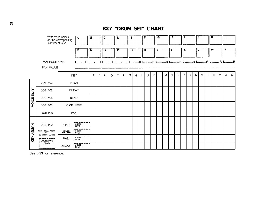<span id="page-53-0"></span>

|            |                                                                       | Write voice names<br>$\mathsf{A}$<br>on the corresponding<br>instrument keys                                                                                                                                 | B           |   | $\mathbf C$ |   | D           |   | E |   |                         | F |   | G  |   | $\mathbf H$ |         |              |   | J            |             |              | К      |        | -L                        |              |
|------------|-----------------------------------------------------------------------|--------------------------------------------------------------------------------------------------------------------------------------------------------------------------------------------------------------|-------------|---|-------------|---|-------------|---|---|---|-------------------------|---|---|----|---|-------------|---------|--------------|---|--------------|-------------|--------------|--------|--------|---------------------------|--------------|
|            |                                                                       | M                                                                                                                                                                                                            | $\mathbf N$ |   | $\circ$     |   | P           |   | Q |   | $\overline{\mathbf{R}}$ |   |   | S  |   | т           |         | U            |   | v            |             |              | W      |        | $\boldsymbol{\mathsf{x}}$ |              |
|            | PAN POSITIONS<br>PAN VALUE                                            |                                                                                                                                                                                                              |             |   |             |   |             |   |   |   |                         |   |   |    |   |             |         |              |   |              |             |              |        |        |                           |              |
|            |                                                                       | <b>KEY</b>                                                                                                                                                                                                   | A           | B | $\mathbf C$ | D | $\mathsf E$ | F | G | H | $\mathbf{I}$            | J | K | L. | M | N           | $\circ$ | $\mathsf{P}$ | Q | $\mathsf{R}$ | $\mathsf S$ | $\mathsf{T}$ | $\cup$ | $\vee$ | W                         | $\mathsf{X}$ |
| EDIT       | JOB #02                                                               | <b>PITCH</b>                                                                                                                                                                                                 |             |   |             |   |             |   |   |   |                         |   |   |    |   |             |         |              |   |              |             |              |        |        |                           |              |
|            | JOB #03                                                               | <b>DECAY</b>                                                                                                                                                                                                 |             |   |             |   |             |   |   |   |                         |   |   |    |   |             |         |              |   |              |             |              |        |        |                           |              |
|            | JOB #04                                                               | <b>BEND</b>                                                                                                                                                                                                  |             |   |             |   |             |   |   |   |                         |   |   |    |   |             |         |              |   |              |             |              |        |        |                           |              |
| VOICE I    | JOB #05                                                               | VOICE LEVEL                                                                                                                                                                                                  |             |   |             |   |             |   |   |   |                         |   |   |    |   |             |         |              |   |              |             |              |        |        |                           |              |
|            | JOB #06                                                               | PAN                                                                                                                                                                                                          |             |   |             |   |             |   |   |   |                         |   |   |    |   |             |         |              |   |              |             |              |        |        |                           |              |
| KEY ASSIGN | JOB #02<br>write offset values<br>OR<br>Combined values<br>MULTIVOICE | <b>MULTIT</b><br>! STEP !<br><b>PITCH</b><br><b>FMULTIT</b><br>I STEP I<br>LEVEL<br>$\begin{bmatrix} \vec{M} \vec{U} \vec{L} \vec{T} \vec{I} \\ \vec{S} \vec{T} \vec{E} \vec{P} \end{bmatrix}$<br><b>PAN</b> |             |   |             |   |             |   |   |   |                         |   |   |    |   |             |         |              |   |              |             |              |        |        |                           |              |
|            |                                                                       | MULTI<br>  STEP<br>DECAY                                                                                                                                                                                     |             |   |             |   |             |   |   |   |                         |   |   |    |   |             |         |              |   |              |             |              |        |        |                           |              |

See p.33 for reference.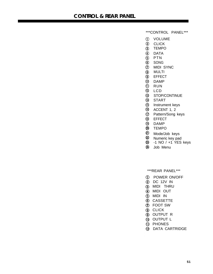<span id="page-54-0"></span>\*\*\*CONTROL PANEL\*\*\*

- VOLUME
- 2 CLICK
- TEMPO
- DATA
- PTN
- SONG
- MIDI SYNC
- MULTI
- EFFECT
- DAMP
- **1** RUN
- 12 LCD
- $^{\circledR}$ STOP/CONTINUE
- **14** START
- **1** Instrument keys
- **6** ACCENT 1, 2
- Pattern/Song keys
- **18** EFFECT
- DAMP
- TEMPO
- Mode/Job keys
- 22 Numeric key pad
- **Q3** -1 NO / +1 YES keys
- Job Menu

\*\*\*REAR PANEL\*\*\*

- POWER ON/OFF
- DC 12V IN
- MIDI THRU
- MIDI OUT
- MIDI IN
- **6** CASSETTE
- FOOT SW
- **8** CLICK
- OUTPUT R
- **1** OUTPUT L
- **1** PHONES
- **12 DATA CARTRIDGE**